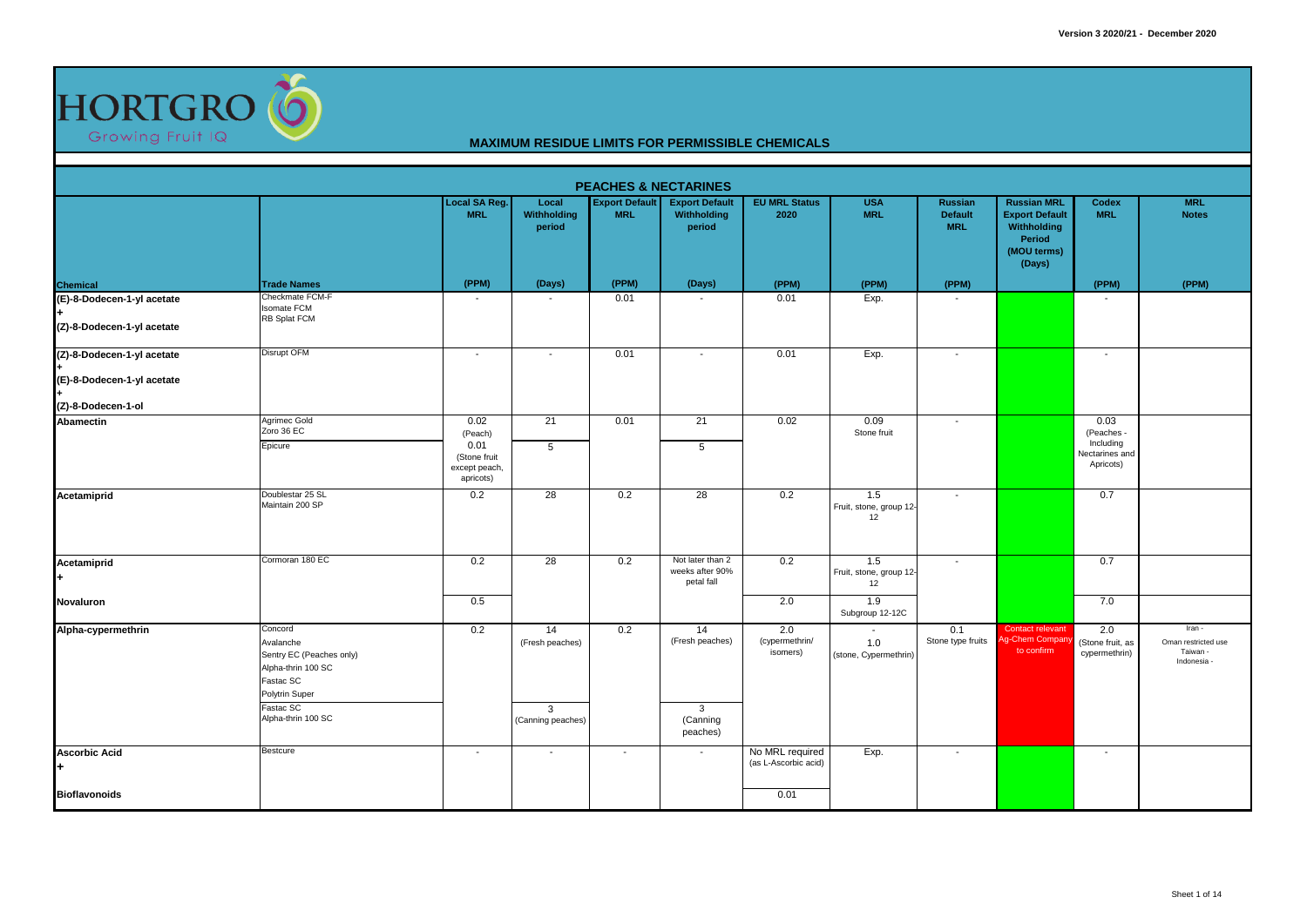

|                                                          |                                                                                                                                          |                                            |                                                 |                                     | <b>PEACHES &amp; NECTARINES</b>                   |                                         |                                        |                                                |                                                                                               |                                          |                                                      |
|----------------------------------------------------------|------------------------------------------------------------------------------------------------------------------------------------------|--------------------------------------------|-------------------------------------------------|-------------------------------------|---------------------------------------------------|-----------------------------------------|----------------------------------------|------------------------------------------------|-----------------------------------------------------------------------------------------------|------------------------------------------|------------------------------------------------------|
|                                                          |                                                                                                                                          | Local SA Reg.<br><b>MRL</b>                | Local<br>Withholding<br>period                  | <b>Export Default</b><br><b>MRL</b> | <b>Export Default</b><br>Withholding<br>period    | <b>EU MRL Status</b><br>2020            | <b>USA</b><br><b>MRL</b>               | <b>Russian</b><br><b>Default</b><br><b>MRL</b> | <b>Russian MRL</b><br><b>Export Default</b><br>Withholding<br>Period<br>(MOU terms)<br>(Days) | Codex<br><b>MRL</b>                      | <b>MRL</b><br><b>Notes</b>                           |
| Chemical                                                 | <b>Trade Names</b>                                                                                                                       | (PPM)                                      | (Days)                                          | (PPM)                               | (Days)                                            | (PPM)                                   | (PPM)                                  | (PPM)                                          |                                                                                               | (PPM)                                    | (PPM)                                                |
| (E)-8-Dodecen-1-yl acetate<br>(Z)-8-Dodecen-1-yl acetate | Checkmate FCM-F<br><b>Isomate FCM</b><br>RB Splat FCM                                                                                    |                                            |                                                 | 0.01                                |                                                   | 0.01                                    | Exp.                                   | $\overline{\phantom{a}}$                       |                                                                                               |                                          |                                                      |
| (Z)-8-Dodecen-1-yl acetate                               | <b>Disrupt OFM</b>                                                                                                                       | $\overline{\phantom{a}}$                   | $\sim$                                          | 0.01                                | $\overline{\phantom{a}}$                          | 0.01                                    | Exp.                                   | $\sim$                                         |                                                                                               | $\blacksquare$                           |                                                      |
| (E)-8-Dodecen-1-yl acetate                               |                                                                                                                                          |                                            |                                                 |                                     |                                                   |                                         |                                        |                                                |                                                                                               |                                          |                                                      |
| (Z)-8-Dodecen-1-ol                                       |                                                                                                                                          |                                            |                                                 |                                     |                                                   |                                         |                                        |                                                |                                                                                               |                                          |                                                      |
| Abamectin                                                | Agrimec Gold<br>Zoro 36 EC<br>Epicure                                                                                                    | 0.02<br>(Peach)<br>0.01                    | 21<br>$\overline{5}$                            | 0.01                                | 21<br>$\overline{5}$                              | 0.02                                    | 0.09<br>Stone fruit                    | $\sim$                                         |                                                                                               | 0.03<br>(Peaches -<br>Including          |                                                      |
|                                                          |                                                                                                                                          | (Stone fruit<br>except peach,<br>apricots) |                                                 |                                     |                                                   |                                         |                                        |                                                |                                                                                               | Nectarines and<br>Apricots)              |                                                      |
| Acetamiprid                                              | Doublestar 25 SL<br>Maintain 200 SP                                                                                                      | 0.2                                        | 28                                              | 0.2                                 | 28                                                | 0.2                                     | 1.5<br>Fruit, stone, group 12-<br>12   | $\overline{\phantom{a}}$                       |                                                                                               | 0.7                                      |                                                      |
| Acetamiprid                                              | Cormoran 180 EC                                                                                                                          | 0.2                                        | 28                                              | 0.2                                 | Not later than 2<br>weeks after 90%<br>petal fall | 0.2                                     | 1.5<br>Fruit, stone, group 12-<br>12   | $\sim$                                         |                                                                                               | 0.7                                      |                                                      |
| Novaluron                                                |                                                                                                                                          | 0.5                                        |                                                 |                                     |                                                   | 2.0                                     | 1.9<br>Subgroup 12-12C                 |                                                |                                                                                               | 7.0                                      |                                                      |
| Alpha-cypermethrin                                       | Concord<br>Avalanche<br>Sentry EC (Peaches only)<br>Alpha-thrin 100 SC<br>Fastac SC<br>Polytrin Super<br>Fastac SC<br>Alpha-thrin 100 SC | 0.2                                        | 14<br>(Fresh peaches)<br>3<br>(Canning peaches) | 0.2                                 | 14<br>(Fresh peaches)<br>$\mathbf{3}$<br>(Canning | 2.0<br>(cypermethrin/<br>isomers)       | $\sim$<br>1.0<br>(stone, Cypermethrin) | 0.1<br>Stone type fruits                       | Contact relevant<br>g-Chem Compar<br>to confirm                                               | 2.0<br>(Stone fruit, as<br>cypermethrin) | Iran -<br>Oman restricted use<br>Taiwan<br>Indonesia |
|                                                          |                                                                                                                                          |                                            |                                                 |                                     | peaches)                                          |                                         |                                        |                                                |                                                                                               |                                          |                                                      |
| <b>Ascorbic Acid</b><br>H.                               | Bestcure                                                                                                                                 | $\overline{\phantom{a}}$                   | $\overline{\phantom{a}}$                        | $\overline{\phantom{a}}$            | $\sim$                                            | No MRL required<br>(as L-Ascorbic acid) | Exp.                                   | $\overline{\phantom{a}}$                       |                                                                                               | $\overline{\phantom{a}}$                 |                                                      |
| <b>Bioflavonoids</b>                                     |                                                                                                                                          |                                            |                                                 |                                     |                                                   | 0.01                                    |                                        |                                                |                                                                                               |                                          |                                                      |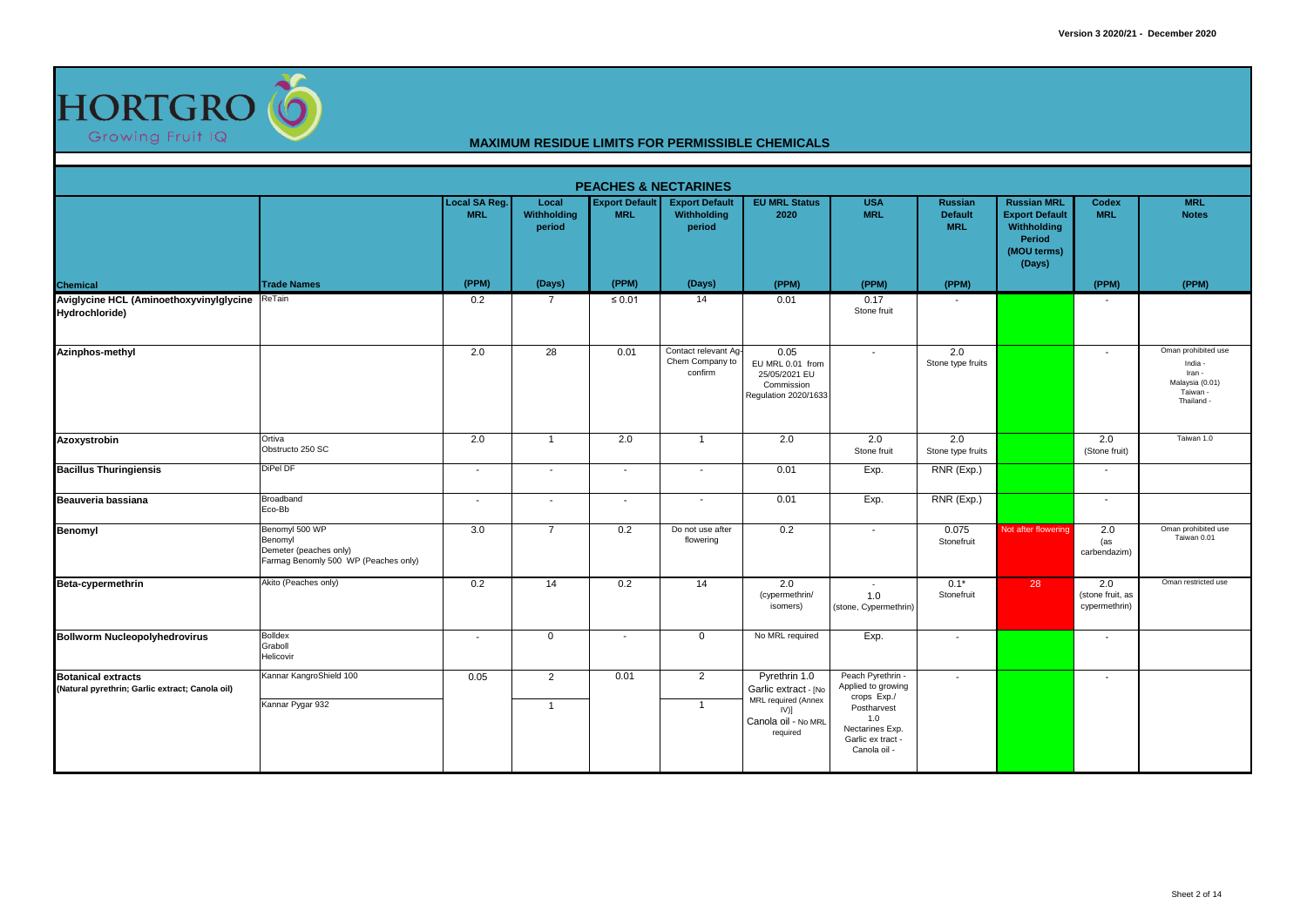

|                                                                              |                                                                                             |                                    |                                |                                     | <b>PEACHES &amp; NECTARINES</b>                    |                                                                                                            |                                                                                                                                    |                                                |                                                                                               |                                          |                                                                                       |
|------------------------------------------------------------------------------|---------------------------------------------------------------------------------------------|------------------------------------|--------------------------------|-------------------------------------|----------------------------------------------------|------------------------------------------------------------------------------------------------------------|------------------------------------------------------------------------------------------------------------------------------------|------------------------------------------------|-----------------------------------------------------------------------------------------------|------------------------------------------|---------------------------------------------------------------------------------------|
|                                                                              |                                                                                             | <b>Local SA Reg.</b><br><b>MRL</b> | Local<br>Withholding<br>period | <b>Export Default</b><br><b>MRL</b> | <b>Export Default</b><br>Withholding<br>period     | <b>EU MRL Status</b><br>2020                                                                               | <b>USA</b><br><b>MRL</b>                                                                                                           | <b>Russian</b><br><b>Default</b><br><b>MRL</b> | <b>Russian MRL</b><br><b>Export Default</b><br>Withholding<br>Period<br>(MOU terms)<br>(Days) | Codex<br><b>MRL</b>                      | <b>MRL</b><br><b>Notes</b>                                                            |
| Chemical                                                                     | <b>Trade Names</b>                                                                          | (PPM)                              | (Days)                         | (PPM)                               | (Days)                                             | (PPM)                                                                                                      | (PPM)                                                                                                                              | (PPM)                                          |                                                                                               | (PPM)                                    | (PPM)                                                                                 |
| Aviglycine HCL (AminoethoxyvinyIglycine ReTain<br>Hydrochloride)             |                                                                                             | 0.2                                | $\overline{7}$                 | $\leq 0.01$                         | 14                                                 | 0.01                                                                                                       | 0.17<br>Stone fruit                                                                                                                | $\sim$                                         |                                                                                               | $\overline{\phantom{a}}$                 |                                                                                       |
| Azinphos-methyl                                                              |                                                                                             | 2.0                                | 28                             | 0.01                                | Contact relevant Ag-<br>Chem Company to<br>confirm | 0.05<br>EU MRL 0.01 from<br>25/05/2021 EU<br>Commission<br>Regulation 2020/1633                            | $\sim$                                                                                                                             | 2.0<br>Stone type fruits                       |                                                                                               | $\overline{\phantom{a}}$                 | Oman prohibited use<br>India -<br>Iran -<br>Malaysia (0.01)<br>Taiwan -<br>Thailand - |
| Azoxystrobin                                                                 | Ortiva<br>Obstructo 250 SC                                                                  | 2.0                                | $\overline{1}$                 | 2.0                                 | $\overline{1}$                                     | 2.0                                                                                                        | 2.0<br>Stone fruit                                                                                                                 | 2.0<br>Stone type fruits                       |                                                                                               | 2.0<br>(Stone fruit)                     | Taiwan 1.0                                                                            |
| <b>Bacillus Thuringiensis</b>                                                | DiPel DF                                                                                    | $\overline{\phantom{a}}$           | $\sim$                         | $\blacksquare$                      | $\overline{\phantom{a}}$                           | 0.01                                                                                                       | Exp.                                                                                                                               | RNR (Exp.)                                     |                                                                                               | $\blacksquare$                           |                                                                                       |
| Beauveria bassiana                                                           | Broadband<br>Eco-Bb                                                                         | $\blacksquare$                     | $\sim$                         | $\overline{\phantom{a}}$            | $\overline{\phantom{a}}$                           | 0.01                                                                                                       | Exp.                                                                                                                               | RNR (Exp.)                                     |                                                                                               | $\sim$                                   |                                                                                       |
| Benomyl                                                                      | Benomyl 500 WP<br>Benomyl<br>Demeter (peaches only)<br>Farmag Benomly 500 WP (Peaches only) | 3.0                                | $\overline{7}$                 | 0.2                                 | Do not use after<br>flowering                      | 0.2                                                                                                        | $\blacksquare$                                                                                                                     | 0.075<br>Stonefruit                            | Not after flowering                                                                           | 2.0<br>(as<br>carbendazim)               | Oman prohibited use<br>Taiwan 0.01                                                    |
| Beta-cypermethrin                                                            | Akito (Peaches only)                                                                        | 0.2                                | 14                             | 0.2                                 | 14                                                 | 2.0<br>(cypermethrin/<br>isomers)                                                                          | $\sim$<br>1.0<br>(stone, Cypermethrin)                                                                                             | $0.1*$<br>Stonefruit                           | 28                                                                                            | 2.0<br>(stone fruit, as<br>cypermethrin) | Oman restricted use                                                                   |
| <b>Bollworm Nucleopolyhedrovirus</b>                                         | Bolldex<br>Graboll<br>Helicovir                                                             | $\blacksquare$                     | $\mathbf{0}$                   | $\overline{\phantom{a}}$            | $\mathbf 0$                                        | No MRL required                                                                                            | Exp.                                                                                                                               | $\sim$                                         |                                                                                               |                                          |                                                                                       |
| <b>Botanical extracts</b><br>(Natural pyrethrin; Garlic extract; Canola oil) | Kannar KangroShield 100<br>Kannar Pygar 932                                                 | 0.05                               | $\overline{2}$<br>$\mathbf{1}$ | 0.01                                | 2<br>$\overline{1}$                                | Pyrethrin 1.0<br>Garlic extract - [No<br>MRL required (Annex<br>$IV)$ ]<br>Canola oil - No MRL<br>required | Peach Pyrethrin -<br>Applied to growing<br>crops Exp./<br>Postharvest<br>1.0<br>Nectarines Exp.<br>Garlic ex tract<br>Canola oil - | $\sim$                                         |                                                                                               | $\overline{\phantom{a}}$                 |                                                                                       |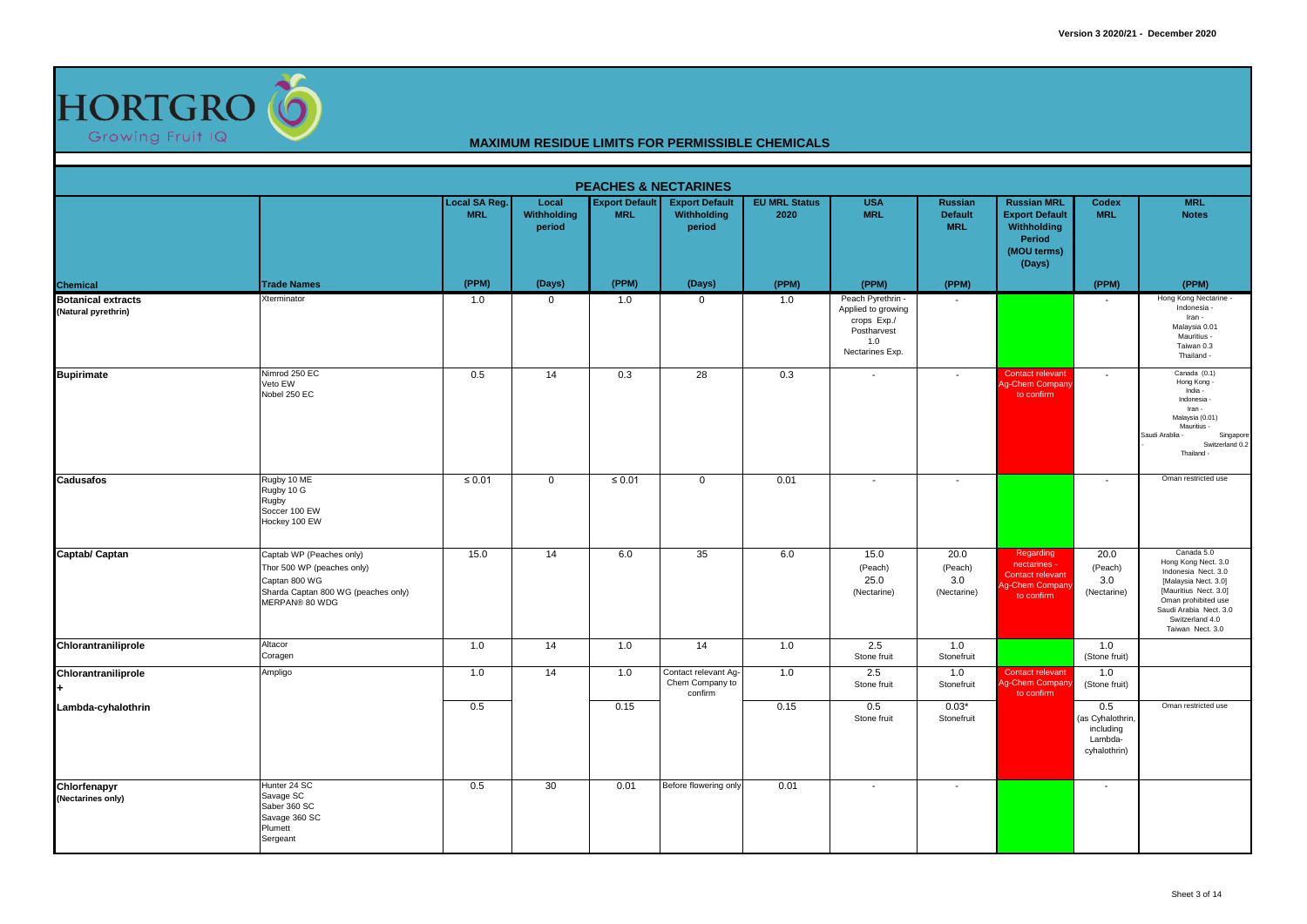

|                                                  |                                                                                                                                  |                             |                                       |                                     | <b>PEACHES &amp; NECTARINES</b>                    |                              |                                                                                                 |                                                |                                                                                               |                                                                 |                                                                                                                                                                                                   |
|--------------------------------------------------|----------------------------------------------------------------------------------------------------------------------------------|-----------------------------|---------------------------------------|-------------------------------------|----------------------------------------------------|------------------------------|-------------------------------------------------------------------------------------------------|------------------------------------------------|-----------------------------------------------------------------------------------------------|-----------------------------------------------------------------|---------------------------------------------------------------------------------------------------------------------------------------------------------------------------------------------------|
|                                                  |                                                                                                                                  | Local SA Reg.<br><b>MRL</b> | Local<br><b>Withholding</b><br>period | <b>Export Default</b><br><b>MRL</b> | <b>Export Default</b><br>Withholding<br>period     | <b>EU MRL Status</b><br>2020 | <b>USA</b><br><b>MRL</b>                                                                        | <b>Russian</b><br><b>Default</b><br><b>MRL</b> | <b>Russian MRL</b><br><b>Export Default</b><br>Withholding<br>Period<br>(MOU terms)<br>(Days) | Codex<br><b>MRL</b>                                             | <b>MRL</b><br><b>Notes</b>                                                                                                                                                                        |
| <b>Chemical</b>                                  | <b>Trade Names</b>                                                                                                               | (PPM)                       | (Days)                                | (PPM)                               | (Days)                                             | (PPM)                        | (PPM)                                                                                           | (PPM)                                          |                                                                                               | (PPM)                                                           | (PPM)                                                                                                                                                                                             |
| <b>Botanical extracts</b><br>(Natural pyrethrin) | Xterminator                                                                                                                      | 1.0                         | $\mathbf 0$                           | 1.0                                 | $\mathbf 0$                                        | 1.0                          | Peach Pyrethrin -<br>Applied to growing<br>crops Exp./<br>Postharvest<br>1.0<br>Nectarines Exp. | $\sim$                                         |                                                                                               |                                                                 | Hong Kong Nectarine -<br>Indonesia -<br>Iran -<br>Malaysia 0.01<br>Mauritius -<br>Taiwan 0.3<br>Thailand -                                                                                        |
| <b>Bupirimate</b>                                | Nimrod 250 EC<br>Veto EW<br>Nobel 250 EC                                                                                         | 0.5                         | 14                                    | 0.3                                 | 28                                                 | 0.3                          | $\sim$                                                                                          | $\sim$                                         | Contact relevant<br>Ag-Chem Compan<br>to confirm                                              | $\sim$                                                          | Canada (0.1)<br>Hong Kong -<br>India -<br>Indonesia -<br>Iran -<br>Malaysia (0.01)<br>Mauritius -<br>Saudi Arablia -<br>Singapore<br>Switzerland 0.2<br>Thailand -                                |
| <b>Cadusafos</b>                                 | Rugby 10 ME<br>Rugby 10 G<br>Rugby<br>Soccer 100 EW<br>Hockey 100 EW                                                             | $\leq 0.01$                 | $\mathbf 0$                           | $\leq 0.01$                         | $\mathbf 0$                                        | 0.01                         | ٠.                                                                                              | $\overline{\phantom{a}}$                       |                                                                                               |                                                                 | Oman restricted use                                                                                                                                                                               |
| Captab/ Captan                                   | Captab WP (Peaches only)<br>Thor 500 WP (peaches only)<br>Captan 800 WG<br>Sharda Captan 800 WG (peaches only)<br>MERPAN® 80 WDG | 15.0                        | 14                                    | 6.0                                 | 35                                                 | 6.0                          | 15.0<br>(Peach)<br>25.0<br>(Nectarine)                                                          | 20.0<br>(Peach)<br>3.0<br>(Nectarine)          | Regarding<br>nectarines -<br>Contact relevant<br>g-Chem Compan<br>to confirm                  | 20.0<br>(Peach)<br>3.0<br>(Nectarine)                           | Canada 5.0<br>Hong Kong Nect. 3.0<br>Indonesia Nect. 3.0<br>[Malaysia Nect. 3.0]<br>[Mauritius Nect. 3.0]<br>Oman prohibited use<br>Saudi Arabia Nect. 3.0<br>Switzerland 4.0<br>Taiwan Nect. 3.0 |
| Chlorantraniliprole                              | Altacor<br>Coragen                                                                                                               | 1.0                         | 14                                    | 1.0                                 | 14                                                 | 1.0                          | 2.5<br>Stone fruit                                                                              | 1.0<br>Stonefruit                              |                                                                                               | 1.0<br>(Stone fruit)                                            |                                                                                                                                                                                                   |
| Chlorantraniliprole                              | Ampligo                                                                                                                          | 1.0                         | 14                                    | 1.0                                 | Contact relevant Ag-<br>Chem Company to<br>confirm | 1.0                          | 2.5<br>Stone fruit                                                                              | 1.0<br>Stonefruit                              | Contact relevant<br>g-Chem Compan<br>to confirm                                               | 1.0<br>(Stone fruit)                                            |                                                                                                                                                                                                   |
| Lambda-cyhalothrin                               |                                                                                                                                  | 0.5                         |                                       | 0.15                                |                                                    | 0.15                         | 0.5<br>Stone fruit                                                                              | $0.03*$<br>Stonefruit                          |                                                                                               | 0.5<br>(as Cyhalothrin,<br>including<br>Lambda-<br>cyhalothrin) | Oman restricted use                                                                                                                                                                               |
| Chlorfenapyr<br>(Nectarines only)                | Hunter 24 SC<br>Savage SC<br>Saber 360 SC<br>Savage 360 SC<br>Plumett<br>Sergeant                                                | 0.5                         | 30                                    | 0.01                                | Before flowering only                              | 0.01                         | $\sim$                                                                                          | $\sim$                                         |                                                                                               | $\overline{\phantom{a}}$                                        |                                                                                                                                                                                                   |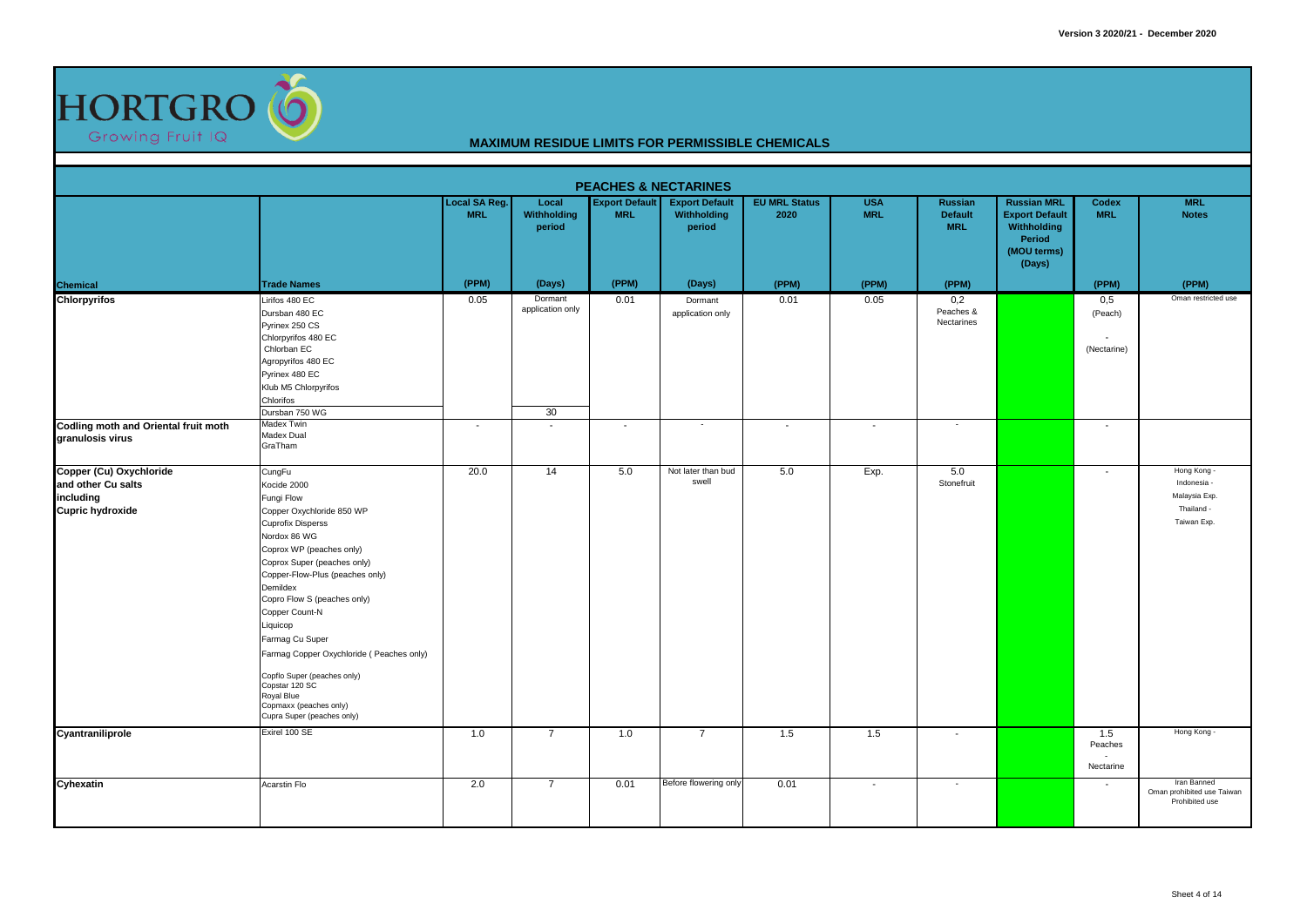

|                                                                                       |                                                                                                                                                                                                                                                                                                                                                                                                                                                                           |                                    |                                                     | <b>PEACHES &amp; NECTARINES</b>     |                                                |                                  |                          |                                          |                                                                                               |                                                           |                                                                          |
|---------------------------------------------------------------------------------------|---------------------------------------------------------------------------------------------------------------------------------------------------------------------------------------------------------------------------------------------------------------------------------------------------------------------------------------------------------------------------------------------------------------------------------------------------------------------------|------------------------------------|-----------------------------------------------------|-------------------------------------|------------------------------------------------|----------------------------------|--------------------------|------------------------------------------|-----------------------------------------------------------------------------------------------|-----------------------------------------------------------|--------------------------------------------------------------------------|
|                                                                                       |                                                                                                                                                                                                                                                                                                                                                                                                                                                                           | <b>Local SA Reg.</b><br><b>MRL</b> | Local<br><b>Withholding</b><br>period               | <b>Export Default</b><br><b>MRL</b> | <b>Export Default</b><br>Withholding<br>period | <b>EU MRL Status</b><br>2020     | <b>USA</b><br><b>MRL</b> | Russian<br><b>Default</b><br><b>MRL</b>  | <b>Russian MRL</b><br><b>Export Default</b><br>Withholding<br>Period<br>(MOU terms)<br>(Days) | Codex<br><b>MRL</b>                                       | <b>MRL</b><br><b>Notes</b>                                               |
|                                                                                       | <b>Trade Names</b>                                                                                                                                                                                                                                                                                                                                                                                                                                                        | (PPM)                              | (Days)                                              | (PPM)                               | (Days)                                         | (PPM)                            | (PPM)                    | (PPM)                                    |                                                                                               | (PPM)                                                     | (PPM)                                                                    |
| <b>Chemical</b><br>Chlorpyrifos<br>Codling moth and Oriental fruit moth               | Lirifos 480 EC<br>Dursban 480 EC<br>Pyrinex 250 CS<br>Chlorpyrifos 480 EC<br>Chlorban EC<br>Agropyrifos 480 EC<br>Pyrinex 480 EC<br>Klub M5 Chlorpyrifos<br>Chlorifos<br>Dursban 750 WG<br>Madex Twin                                                                                                                                                                                                                                                                     | 0.05<br>$\overline{\phantom{a}}$   | Dormant<br>application only<br>30<br>$\overline{a}$ | 0.01<br>$\overline{\phantom{a}}$    | Dormant<br>application only<br>$\sim$          | 0.01<br>$\overline{\phantom{a}}$ | 0.05<br>$\sim$           | 0,2<br>Peaches &<br>Nectarines<br>$\sim$ |                                                                                               | 0,5<br>(Peach)<br>(Nectarine)<br>$\overline{\phantom{a}}$ | Oman restricted use                                                      |
| granulosis virus                                                                      | Madex Dual<br>GraTham                                                                                                                                                                                                                                                                                                                                                                                                                                                     |                                    |                                                     |                                     |                                                |                                  |                          |                                          |                                                                                               |                                                           |                                                                          |
| Copper (Cu) Oxychloride<br>and other Cu salts<br>including<br><b>Cupric hydroxide</b> | CungFu<br>Kocide 2000<br>Fungi Flow<br>Copper Oxychloride 850 WP<br><b>Cuprofix Disperss</b><br>Nordox 86 WG<br>Coprox WP (peaches only)<br>Coprox Super (peaches only)<br>Copper-Flow-Plus (peaches only)<br>Demildex<br>Copro Flow S (peaches only)<br>Copper Count-N<br>Liquicop<br>Farmag Cu Super<br>Farmag Copper Oxychloride (Peaches only)<br>Copflo Super (peaches only)<br>Copstar 120 SC<br>Royal Blue<br>Copmaxx (peaches only)<br>Cupra Super (peaches only) | 20.0                               | 14                                                  | 5.0                                 | Not later than bud<br>swell                    | 5.0                              | Exp.                     | 5.0<br>Stonefruit                        |                                                                                               | $\overline{\phantom{a}}$                                  | Hong Kong -<br>Indonesia -<br>Malaysia Exp.<br>Thailand -<br>Taiwan Exp. |
| Cyantraniliprole                                                                      | Exirel 100 SE                                                                                                                                                                                                                                                                                                                                                                                                                                                             | 1.0                                | $\overline{7}$                                      | 1.0                                 | $\overline{7}$                                 | 1.5                              | 1.5                      | $\overline{\phantom{a}}$                 |                                                                                               | 1.5<br>Peaches<br>$\overline{\phantom{a}}$<br>Nectarine   | Hong Kong -                                                              |
| Cyhexatin                                                                             | Acarstin Flo                                                                                                                                                                                                                                                                                                                                                                                                                                                              | 2.0                                | $\overline{7}$                                      | 0.01                                | Before flowering only                          | 0.01                             | $\sim$                   | $\sim$                                   |                                                                                               | $\overline{\phantom{a}}$                                  | Iran Banned<br>Oman prohibited use Taiwan<br>Prohibited use              |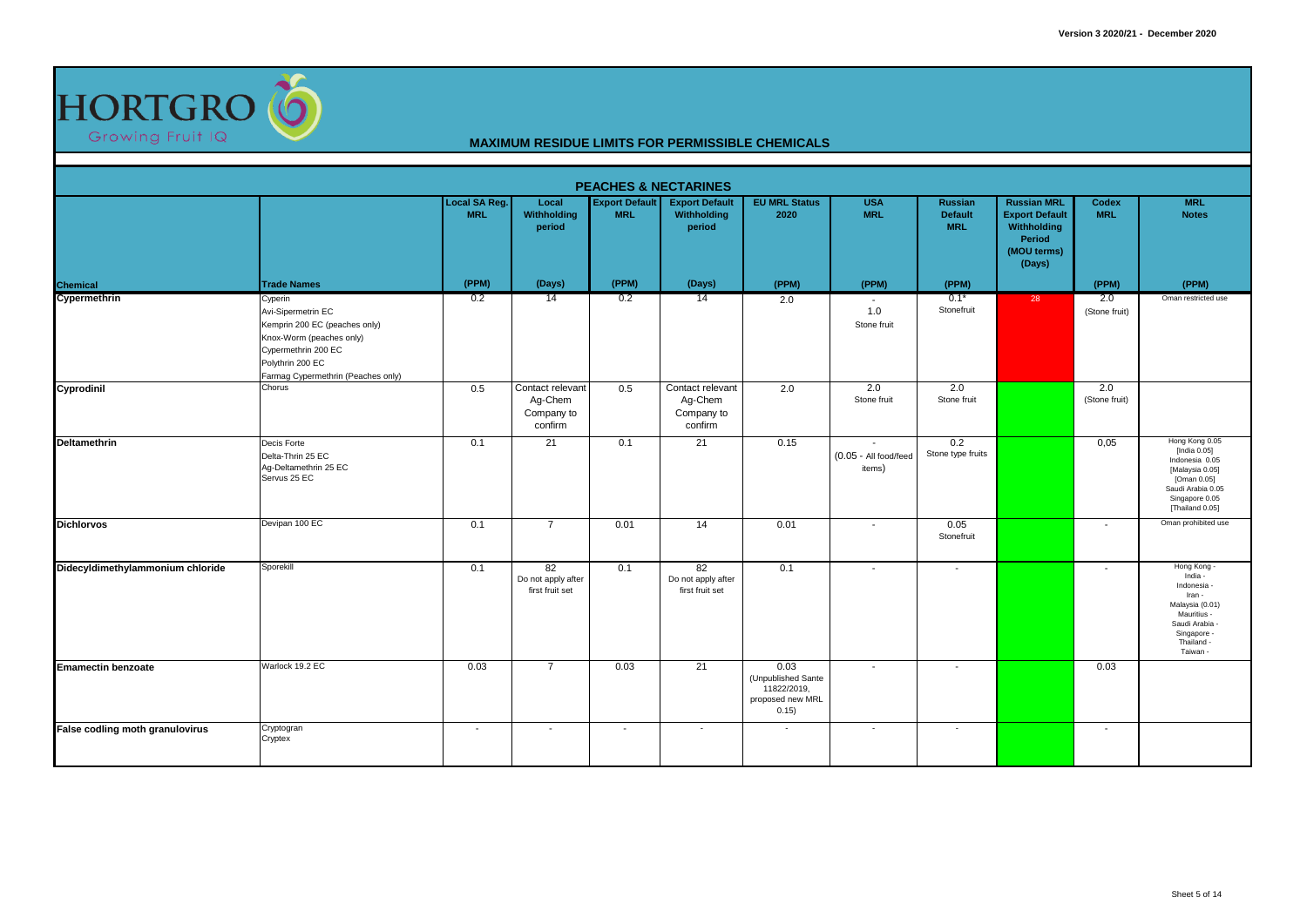

|                                  |                                                                                                                                                                             |                                    |                                                      |                                     | <b>PEACHES &amp; NECTARINES</b>                      |                                                                        |                                                             |                                         |                                                                                               |                          |                                                                                                                                                 |
|----------------------------------|-----------------------------------------------------------------------------------------------------------------------------------------------------------------------------|------------------------------------|------------------------------------------------------|-------------------------------------|------------------------------------------------------|------------------------------------------------------------------------|-------------------------------------------------------------|-----------------------------------------|-----------------------------------------------------------------------------------------------|--------------------------|-------------------------------------------------------------------------------------------------------------------------------------------------|
|                                  |                                                                                                                                                                             | <b>Local SA Reg.</b><br><b>MRL</b> | Local<br>Withholding<br>period                       | <b>Export Default</b><br><b>MRL</b> | <b>Export Default</b><br>Withholding<br>period       | <b>EU MRL Status</b><br>2020                                           | <b>USA</b><br><b>MRL</b>                                    | Russian<br><b>Default</b><br><b>MRL</b> | <b>Russian MRL</b><br><b>Export Default</b><br>Withholding<br>Period<br>(MOU terms)<br>(Days) | Codex<br><b>MRL</b>      | <b>MRL</b><br><b>Notes</b>                                                                                                                      |
| <b>Chemical</b>                  | <b>Trade Names</b>                                                                                                                                                          | (PPM)                              | (Days)                                               | (PPM)                               | (Days)                                               | (PPM)                                                                  | (PPM)                                                       | (PPM)                                   |                                                                                               | (PPM)                    | (PPM)                                                                                                                                           |
| Cypermethrin                     | Cyperin<br>Avi-Sipermetrin EC<br>Kemprin 200 EC (peaches only)<br>Knox-Worm (peaches only)<br>Cypermethrin 200 EC<br>Polythrin 200 EC<br>Farmag Cypermethrin (Peaches only) | 0.2                                | 14                                                   | 0.2                                 | 14                                                   | 2.0                                                                    | $\sim$<br>1.0<br>Stone fruit                                | $0.1*$<br>Stonefruit                    | 28                                                                                            | 2.0<br>(Stone fruit)     | Oman restricted use                                                                                                                             |
| Cyprodinil                       | Chorus                                                                                                                                                                      | 0.5                                | Contact relevant<br>Ag-Chem<br>Company to<br>confirm | 0.5                                 | Contact relevant<br>Ag-Chem<br>Company to<br>confirm | 2.0                                                                    | 2.0<br>Stone fruit                                          | 2.0<br>Stone fruit                      |                                                                                               | 2.0<br>(Stone fruit)     |                                                                                                                                                 |
| Deltamethrin                     | Decis Forte<br>Delta-Thrin 25 EC<br>Ag-Deltamethrin 25 EC<br>Servus 25 EC                                                                                                   | 0.1                                | 21                                                   | 0.1                                 | 21                                                   | 0.15                                                                   | $\overline{\phantom{a}}$<br>(0.05 - All food/feed<br>items) | 0.2<br>Stone type fruits                |                                                                                               | 0,05                     | Hong Kong 0.05<br>[India $0.05$ ]<br>Indonesia 0.05<br>[Malaysia 0.05]<br>[Oman 0.05]<br>Saudi Arabia 0.05<br>Singapore 0.05<br>[Thailand 0.05] |
| <b>Dichlorvos</b>                | Devipan 100 EC                                                                                                                                                              | 0.1                                | $\overline{7}$                                       | 0.01                                | 14                                                   | 0.01                                                                   | $\sim$                                                      | 0.05<br>Stonefruit                      |                                                                                               | $\overline{\phantom{a}}$ | Oman prohibited use                                                                                                                             |
| Didecyldimethylammonium chloride | Sporekill                                                                                                                                                                   | 0.1                                | 82<br>Do not apply after<br>first fruit set          | 0.1                                 | 82<br>Do not apply after<br>first fruit set          | 0.1                                                                    |                                                             | $\overline{\phantom{a}}$                |                                                                                               |                          | Hong Kong -<br>India -<br>Indonesia -<br>Iran -<br>Malaysia (0.01)<br>Mauritius -<br>Saudi Arabia -<br>Singapore -<br>Thailand -<br>Taiwan -    |
| <b>Emamectin benzoate</b>        | Warlock 19.2 EC                                                                                                                                                             | 0.03                               | $\overline{7}$                                       | 0.03                                | 21                                                   | 0.03<br>(Unpublished Sante<br>11822/2019,<br>proposed new MRL<br>0.15) | $\sim$                                                      | $\sim$                                  |                                                                                               | 0.03                     |                                                                                                                                                 |
| False codling moth granulovirus  | Cryptogran<br>Cryptex                                                                                                                                                       | $\sim$                             | $\overline{\phantom{a}}$                             | $\overline{\phantom{a}}$            | $\overline{\phantom{a}}$                             |                                                                        | $\overline{\phantom{a}}$                                    | $\sim$                                  |                                                                                               | $\overline{\phantom{a}}$ |                                                                                                                                                 |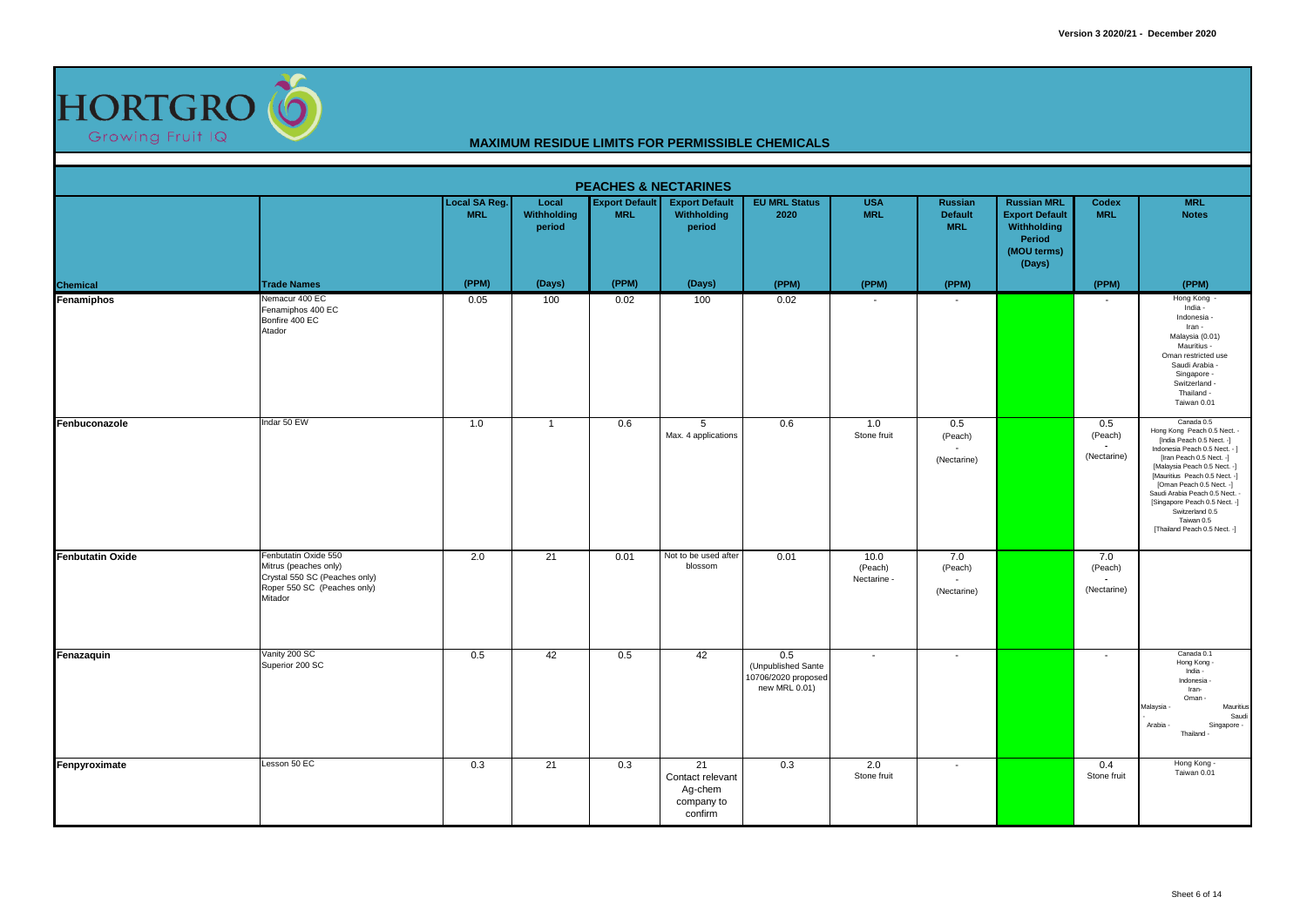

|                         |                                                                                                                          |                             |                                |                                     | <b>PEACHES &amp; NECTARINES</b>                            |                                                                   |                                |                                                        |                                                                                               |                               |                                                                                                                                                                                                                                                                                                                                                                      |
|-------------------------|--------------------------------------------------------------------------------------------------------------------------|-----------------------------|--------------------------------|-------------------------------------|------------------------------------------------------------|-------------------------------------------------------------------|--------------------------------|--------------------------------------------------------|-----------------------------------------------------------------------------------------------|-------------------------------|----------------------------------------------------------------------------------------------------------------------------------------------------------------------------------------------------------------------------------------------------------------------------------------------------------------------------------------------------------------------|
|                         |                                                                                                                          | Local SA Reg.<br><b>MRL</b> | Local<br>Withholding<br>period | <b>Export Default</b><br><b>MRL</b> | <b>Export Default</b><br>Withholding<br>period             | <b>EU MRL Status</b><br>2020                                      | <b>USA</b><br><b>MRL</b>       | <b>Russian</b><br><b>Default</b><br><b>MRL</b>         | <b>Russian MRL</b><br><b>Export Default</b><br>Withholding<br>Period<br>(MOU terms)<br>(Days) | Codex<br><b>MRL</b>           | <b>MRL</b><br><b>Notes</b>                                                                                                                                                                                                                                                                                                                                           |
| <b>Chemical</b>         | <b>Trade Names</b>                                                                                                       | (PPM)                       | (Days)                         | (PPM)                               | (Days)                                                     | (PPM)                                                             | (PPM)                          | (PPM)                                                  |                                                                                               | (PPM)                         | (PPM)                                                                                                                                                                                                                                                                                                                                                                |
| Fenamiphos              | Nemacur 400 EC<br>Fenamiphos 400 EC<br>Bonfire 400 EC<br>Atador                                                          | 0.05                        | 100                            | 0.02                                | 100                                                        | 0.02                                                              |                                |                                                        |                                                                                               |                               | Hong Kong<br>India -<br>Indonesia -<br>Iran -<br>Malaysia (0.01)<br>Mauritius -<br>Oman restricted use<br>Saudi Arabia -<br>Singapore -<br>Switzerland -<br>Thailand -<br>Taiwan 0.01                                                                                                                                                                                |
| Fenbuconazole           | Indar 50 EW                                                                                                              | 1.0                         | $\mathbf{1}$                   | 0.6                                 | $\overline{5}$<br>Max. 4 applications                      | 0.6                                                               | 1.0<br>Stone fruit             | 0.5<br>(Peach)<br>$\tilde{\phantom{a}}$<br>(Nectarine) |                                                                                               | 0.5<br>(Peach)<br>(Nectarine) | Canada 0.5<br>Hong Kong Peach 0.5 Nect. -<br>[India Peach 0.5 Nect. -]<br>Indonesia Peach 0.5 Nect. - ]<br>[Iran Peach 0.5 Nect. -]<br>[Malaysia Peach 0.5 Nect. -]<br>[Mauritius Peach 0.5 Nect. -]<br>[Oman Peach 0.5 Nect. -]<br>Saudi Arabia Peach 0.5 Nect. -<br>[Singapore Peach 0.5 Nect. -]<br>Switzerland 0.5<br>Taiwan 0.5<br>[Thailand Peach 0.5 Nect. -] |
| <b>Fenbutatin Oxide</b> | Fenbutatin Oxide 550<br>Mitrus (peaches only)<br>Crystal 550 SC (Peaches only)<br>Roper 550 SC (Peaches only)<br>Mitador | 2.0                         | 21                             | 0.01                                | Not to be used after<br>blossom                            | 0.01                                                              | 10.0<br>(Peach)<br>Nectarine - | 7.0<br>(Peach)<br>(Nectarine)                          |                                                                                               | 7.0<br>(Peach)<br>(Nectarine) |                                                                                                                                                                                                                                                                                                                                                                      |
| Fenazaquin              | Vanity 200 SC<br>Superior 200 SC                                                                                         | 0.5                         | 42                             | 0.5                                 | 42                                                         | 0.5<br>(Unpublished Sante<br>10706/2020 proposed<br>new MRL 0.01) | $\blacksquare$                 | $\overline{\phantom{a}}$                               |                                                                                               |                               | Canada 0.1<br>Hong Kong -<br>India -<br>Indonesia -<br>Iran-<br>Oman-<br>Malaysia<br>Mauritius<br>Saudi<br>Arabia ·<br>Singapore -<br>Thailand -                                                                                                                                                                                                                     |
| Fenpyroximate           | Lesson 50 EC                                                                                                             | 0.3                         | 21                             | 0.3                                 | 21<br>Contact relevant<br>Ag-chem<br>company to<br>confirm | 0.3                                                               | 2.0<br>Stone fruit             | $\overline{\phantom{a}}$                               |                                                                                               | 0.4<br>Stone fruit            | Hong Kong -<br>Taiwan 0.01                                                                                                                                                                                                                                                                                                                                           |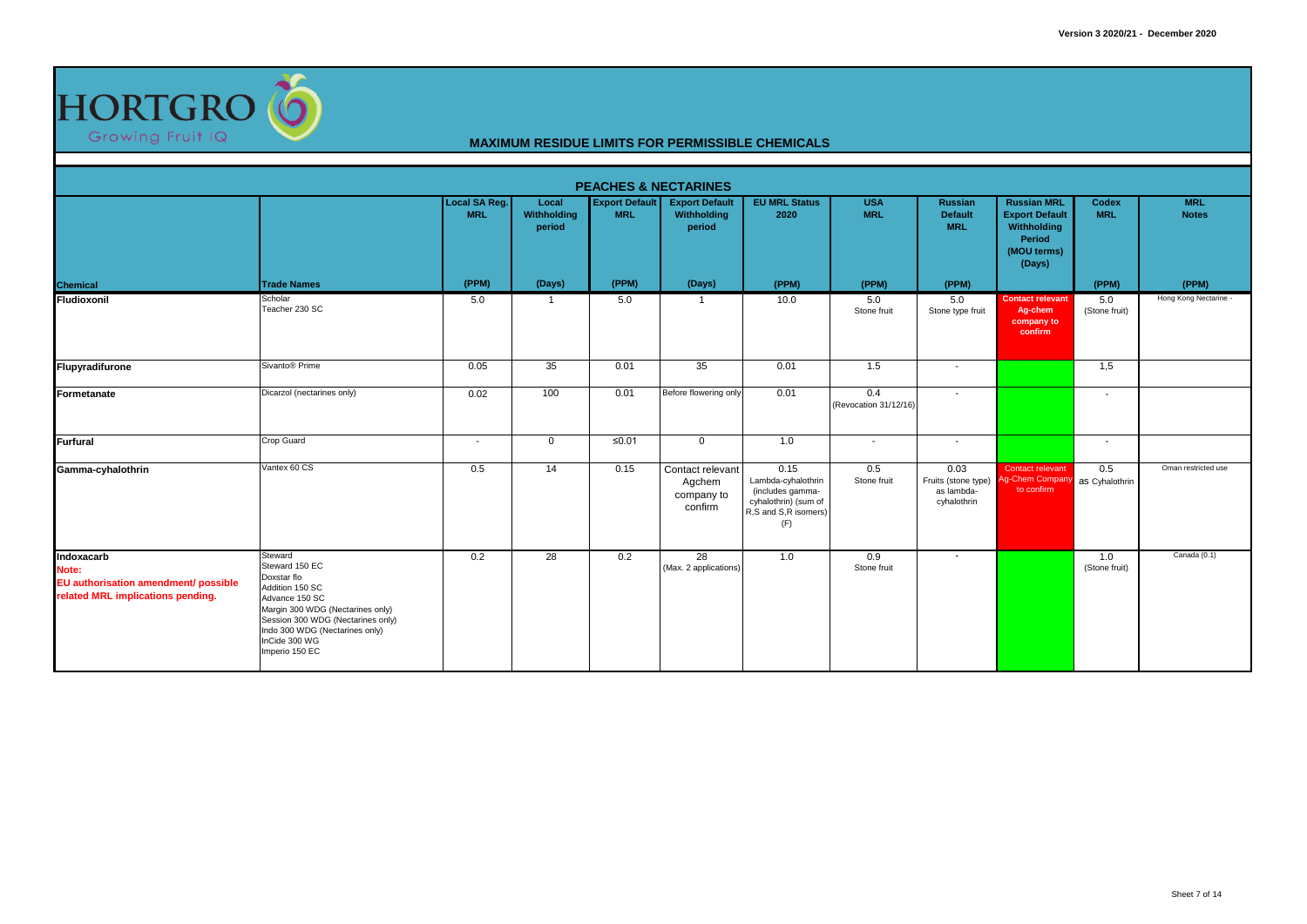

|                                                                                                  |                                                                                                                                                                                                                             |                             |                                |                                     | <b>PEACHES &amp; NECTARINES</b>                     |                                                                                                       |                              |                                                                         |                                                                                               |                          |                            |
|--------------------------------------------------------------------------------------------------|-----------------------------------------------------------------------------------------------------------------------------------------------------------------------------------------------------------------------------|-----------------------------|--------------------------------|-------------------------------------|-----------------------------------------------------|-------------------------------------------------------------------------------------------------------|------------------------------|-------------------------------------------------------------------------|-----------------------------------------------------------------------------------------------|--------------------------|----------------------------|
|                                                                                                  |                                                                                                                                                                                                                             | Local SA Reg.<br><b>MRL</b> | Local<br>Withholding<br>period | <b>Export Default</b><br><b>MRL</b> | <b>Export Default</b><br>Withholding<br>period      | <b>EU MRL Status</b><br>2020                                                                          | <b>USA</b><br><b>MRL</b>     | Russian<br><b>Default</b><br><b>MRL</b>                                 | <b>Russian MRL</b><br><b>Export Default</b><br>Withholding<br>Period<br>(MOU terms)<br>(Days) | Codex<br><b>MRL</b>      | <b>MRL</b><br><b>Notes</b> |
| <b>Chemical</b>                                                                                  | <b>Trade Names</b>                                                                                                                                                                                                          | (PPM)                       | (Days)                         | (PPM)                               | (Days)                                              | (PPM)                                                                                                 | (PPM)                        | (PPM)                                                                   |                                                                                               | (PPM)                    | (PPM)                      |
| Fludioxonil                                                                                      | Scholar<br>Teacher 230 SC                                                                                                                                                                                                   | 5.0                         | -1                             | 5.0                                 | $\mathbf{1}$                                        | 10.0                                                                                                  | 5.0<br>Stone fruit           | 5.0<br>Stone type fruit                                                 | <b>Contact relevant</b><br>Ag-chem<br>company to<br>confirm                                   | 5.0<br>(Stone fruit)     | Hong Kong Nectarine -      |
| Flupyradifurone                                                                                  | Sivanto <sup>®</sup> Prime                                                                                                                                                                                                  | 0.05                        | 35                             | 0.01                                | 35                                                  | 0.01                                                                                                  | 1.5                          | $\sim$                                                                  |                                                                                               | 1,5                      |                            |
| Formetanate                                                                                      | Dicarzol (nectarines only)                                                                                                                                                                                                  | 0.02                        | 100                            | 0.01                                | Before flowering only                               | 0.01                                                                                                  | 0.4<br>(Revocation 31/12/16) | $\sim$                                                                  |                                                                                               | $\overline{\phantom{a}}$ |                            |
| <b>Furfural</b>                                                                                  | <b>Crop Guard</b>                                                                                                                                                                                                           | $\overline{\phantom{a}}$    | $\mathbf 0$                    | $≤0.01$                             | $\overline{0}$                                      | 1.0                                                                                                   | $\overline{\phantom{a}}$     | $\sim$                                                                  |                                                                                               | $\overline{\phantom{a}}$ |                            |
| Gamma-cyhalothrin                                                                                | Vantex 60 CS                                                                                                                                                                                                                | 0.5                         | 14                             | 0.15                                | Contact relevant<br>Agchem<br>company to<br>confirm | 0.15<br>Lambda-cyhalothrin<br>(includes gamma-<br>cyhalothrin) (sum of<br>R,S and S,R isomers)<br>(F) | 0.5<br>Stone fruit           | 0.03<br>Fruits (stone type) Ag-Chem Compar<br>as lambda-<br>cyhalothrin | Contact relevant<br>to confirm                                                                | 0.5<br>as Cyhalothrin    | Oman restricted use        |
| Indoxacarb<br>Note:<br>EU authorisation amendment/ possible<br>related MRL implications pending. | Steward<br>Steward 150 EC<br>Doxstar flo<br>Addition 150 SC<br>Advance 150 SC<br>Margin 300 WDG (Nectarines only)<br>Session 300 WDG (Nectarines only)<br>Indo 300 WDG (Nectarines only)<br>InCide 300 WG<br>Imperio 150 EC | 0.2                         | 28                             | 0.2                                 | 28<br>(Max. 2 applications)                         | 1.0                                                                                                   | 0.9<br>Stone fruit           | $\sim$                                                                  |                                                                                               | 1.0<br>(Stone fruit)     | Canada (0.1)               |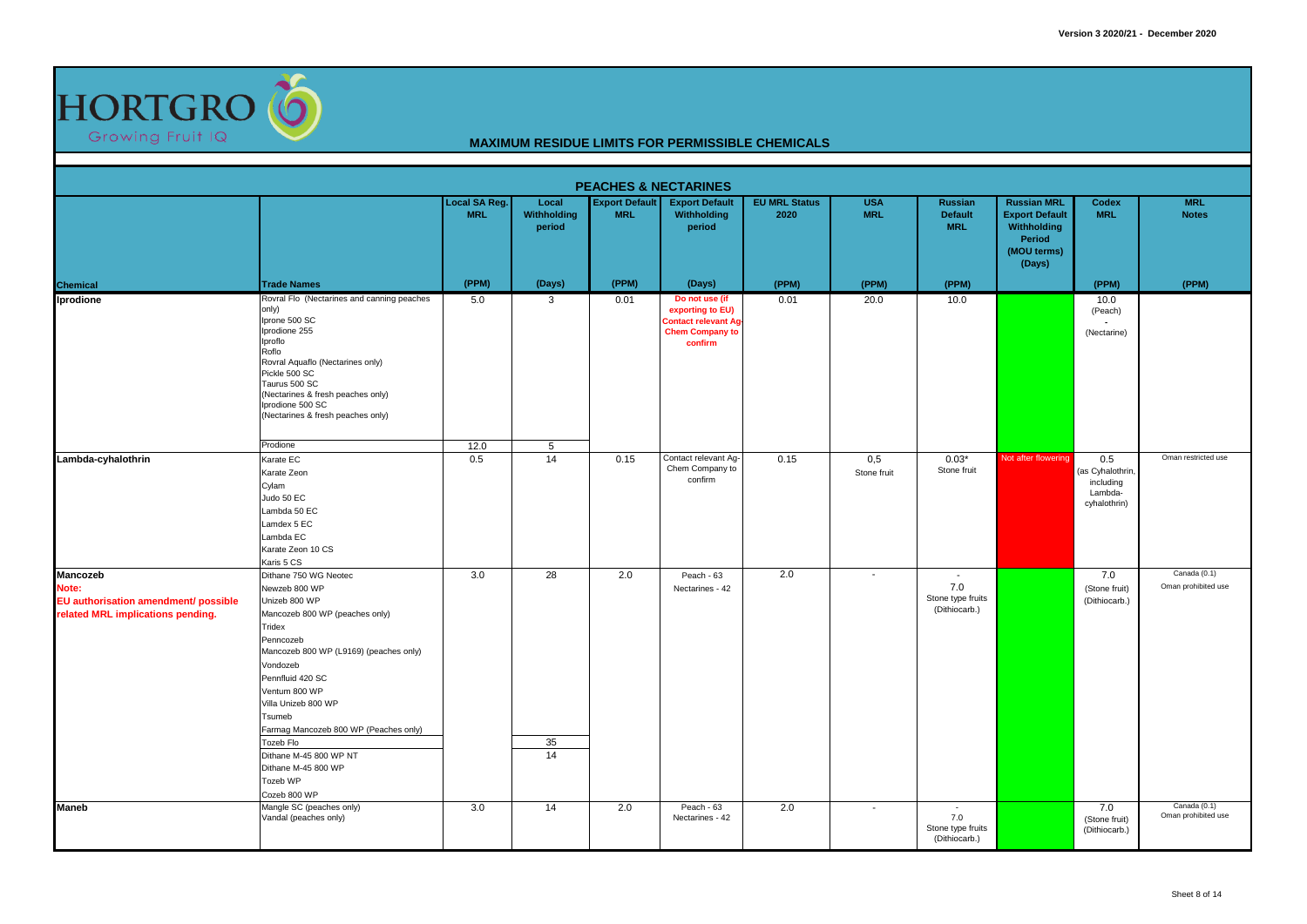

|                                                                                                |                                                                                                                                                                                                                                                                                                                                                                                 |                                    |                                       | <b>PEACHES &amp; NECTARINES</b>     |                                                                                                       |                              |                          |                                                                       |                                                                                               |                                                                 |                                       |
|------------------------------------------------------------------------------------------------|---------------------------------------------------------------------------------------------------------------------------------------------------------------------------------------------------------------------------------------------------------------------------------------------------------------------------------------------------------------------------------|------------------------------------|---------------------------------------|-------------------------------------|-------------------------------------------------------------------------------------------------------|------------------------------|--------------------------|-----------------------------------------------------------------------|-----------------------------------------------------------------------------------------------|-----------------------------------------------------------------|---------------------------------------|
|                                                                                                |                                                                                                                                                                                                                                                                                                                                                                                 | <b>Local SA Reg.</b><br><b>MRL</b> | Local<br><b>Withholding</b><br>period | <b>Export Default</b><br><b>MRL</b> | <b>Export Default</b><br>Withholding<br>period                                                        | <b>EU MRL Status</b><br>2020 | <b>USA</b><br><b>MRL</b> | <b>Russian</b><br><b>Default</b><br><b>MRL</b>                        | <b>Russian MRL</b><br><b>Export Default</b><br>Withholding<br>Period<br>(MOU terms)<br>(Days) | Codex<br><b>MRL</b>                                             | <b>MRL</b><br><b>Notes</b>            |
| <b>Chemical</b>                                                                                | <b>Trade Names</b>                                                                                                                                                                                                                                                                                                                                                              | (PPM)                              | (Days)                                | (PPM)                               | (Days)                                                                                                | (PPM)                        | (PPM)                    | (PPM)                                                                 |                                                                                               | (PPM)                                                           | (PPM)                                 |
| Iprodione                                                                                      | Rovral Flo (Nectarines and canning peaches<br>only)<br>Iprone 500 SC<br>Iprodione 255<br>Iproflo<br>Roflo<br>Rovral Aquaflo (Nectarines only)<br>Pickle 500 SC<br>Taurus 500 SC<br>(Nectarines & fresh peaches only)<br>Iprodione 500 SC<br>(Nectarines & fresh peaches only)                                                                                                   | 5.0                                | 3                                     | 0.01                                | Do not use (if<br>exporting to EU)<br><b>Contact relevant Ag</b><br><b>Chem Company to</b><br>confirm | 0.01                         | 20.0                     | 10.0                                                                  |                                                                                               | 10.0<br>(Peach)<br>(Nectarine)                                  |                                       |
|                                                                                                | Prodione                                                                                                                                                                                                                                                                                                                                                                        | 12.0                               | 5                                     |                                     |                                                                                                       |                              |                          |                                                                       |                                                                                               |                                                                 |                                       |
| Lambda-cyhalothrin                                                                             | Karate EC<br>Karate Zeon<br>Cylam<br>Judo 50 EC<br>Lambda 50 EC<br>Lamdex 5 EC<br>Lambda EC<br>Karate Zeon 10 CS<br>Karis 5 CS                                                                                                                                                                                                                                                  | 0.5                                | 14                                    | 0.15                                | Contact relevant Aq-<br>Chem Company to<br>confirm                                                    | 0.15                         | 0.5<br>Stone fruit       | $0.03*$<br>Stone fruit                                                | Not after flowering                                                                           | 0.5<br>(as Cyhalothrin,<br>including<br>Lambda-<br>cyhalothrin) | Oman restricted use                   |
| Mancozeb<br>Note:<br>EU authorisation amendment/ possible<br>related MRL implications pending. | Dithane 750 WG Neotec<br>Newzeb 800 WP<br>Unizeb 800 WP<br>Mancozeb 800 WP (peaches only)<br>Tridex<br>Penncozeb<br>Mancozeb 800 WP (L9169) (peaches only)<br>Vondozeb<br>Pennfluid 420 SC<br>Ventum 800 WP<br>Villa Unizeb 800 WP<br>Tsumeb<br>Farmag Mancozeb 800 WP (Peaches only)<br>Tozeb Flo<br>Dithane M-45 800 WP NT<br>Dithane M-45 800 WP<br>Tozeb WP<br>Cozeb 800 WP | 3.0                                | 28<br>35<br>14                        | 2.0                                 | Peach - 63<br>Nectarines - 42                                                                         | 2.0                          | $\blacksquare$           | $\overline{\phantom{a}}$<br>7.0<br>Stone type fruits<br>(Dithiocarb.) |                                                                                               | 7.0<br>(Stone fruit)<br>(Dithiocarb.)                           | Canada (0.1)<br>Oman prohibited use   |
| <b>Maneb</b>                                                                                   | Mangle SC (peaches only)<br>Vandal (peaches only)                                                                                                                                                                                                                                                                                                                               | 3.0                                | 14                                    | 2.0                                 | Peach - 63<br>Nectarines - 42                                                                         | 2.0                          | $\overline{\phantom{a}}$ | $\sim$<br>7.0<br>Stone type fruits<br>(Dithiocarb.)                   |                                                                                               | 7.0<br>(Stone fruit)<br>(Dithiocarb.)                           | Canada $(0.1)$<br>Oman prohibited use |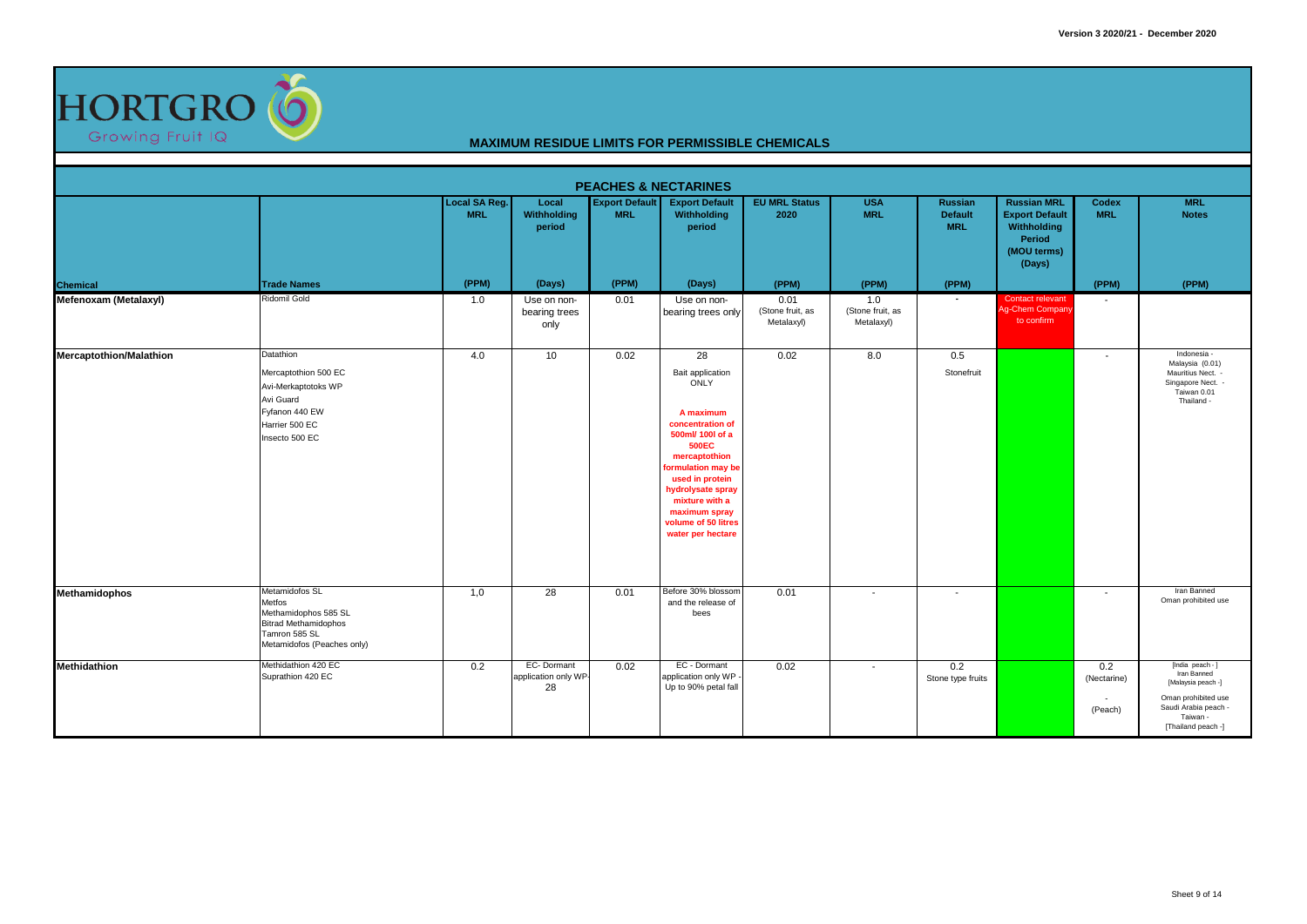

|                                |                                                                                                                                |                             |                                          |                                     | <b>PEACHES &amp; NECTARINES</b>                                                                                                                                                                                                                                  |                                        |                                       |                                         |                                                                                               |                               |                                                                                                                                        |
|--------------------------------|--------------------------------------------------------------------------------------------------------------------------------|-----------------------------|------------------------------------------|-------------------------------------|------------------------------------------------------------------------------------------------------------------------------------------------------------------------------------------------------------------------------------------------------------------|----------------------------------------|---------------------------------------|-----------------------------------------|-----------------------------------------------------------------------------------------------|-------------------------------|----------------------------------------------------------------------------------------------------------------------------------------|
|                                |                                                                                                                                | Local SA Reg.<br><b>MRL</b> | Local<br>Withholding<br>period           | <b>Export Default</b><br><b>MRL</b> | <b>Export Default</b><br>Withholding<br>period                                                                                                                                                                                                                   | <b>EU MRL Status</b><br>2020           | <b>USA</b><br><b>MRL</b>              | Russian<br><b>Default</b><br><b>MRL</b> | <b>Russian MRL</b><br><b>Export Default</b><br>Withholding<br>Period<br>(MOU terms)<br>(Days) | Codex<br><b>MRL</b>           | <b>MRL</b><br><b>Notes</b>                                                                                                             |
| Chemical                       | <b>Trade Names</b>                                                                                                             | (PPM)                       | (Days)                                   | (PPM)                               | (Days)                                                                                                                                                                                                                                                           | (PPM)                                  | (PPM)                                 | (PPM)                                   |                                                                                               | (PPM)                         | (PPM)                                                                                                                                  |
| Mefenoxam (Metalaxyl)          | <b>Ridomil Gold</b>                                                                                                            | 1.0                         | Use on non-<br>bearing trees<br>only     | 0.01                                | Use on non-<br>bearing trees only                                                                                                                                                                                                                                | 0.01<br>(Stone fruit, as<br>Metalaxyl) | 1.0<br>(Stone fruit, as<br>Metalaxyl) |                                         | Contact relevant<br>Ag-Chem Company<br>to confirm                                             |                               |                                                                                                                                        |
| <b>Mercaptothion/Malathion</b> | Datathion<br>Mercaptothion 500 EC<br>Avi-Merkaptotoks WP<br>Avi Guard<br>Fyfanon 440 EW<br>Harrier 500 EC<br>Insecto 500 EC    | 4.0                         | 10 <sup>1</sup>                          | 0.02                                | 28<br>Bait application<br>ONLY<br>A maximum<br>concentration of<br>500ml/ 100l of a<br><b>500EC</b><br>mercaptothion<br>ormulation may be<br>used in protein<br>hydrolysate spray<br>mixture with a<br>maximum spray<br>volume of 50 litres<br>water per hectare | 0.02                                   | 8.0                                   | 0.5<br>Stonefruit                       |                                                                                               |                               | Indonesia -<br>Malaysia (0.01)<br>Mauritius Nect. -<br>Singapore Nect. -<br>Taiwan 0.01<br>Thailand -                                  |
| <b>Methamidophos</b>           | Metamidofos SL<br>Metfos<br>Methamidophos 585 SL<br><b>Bitrad Methamidophos</b><br>Tamron 585 SL<br>Metamidofos (Peaches only) | 1,0                         | $\overline{28}$                          | 0.01                                | Before 30% blossom<br>and the release of<br>bees                                                                                                                                                                                                                 | 0.01                                   | $\sim$                                | $\sim$                                  |                                                                                               | $\overline{\phantom{a}}$      | Iran Banned<br>Oman prohibited use                                                                                                     |
| Methidathion                   | Methidathion 420 EC<br>Suprathion 420 EC                                                                                       | 0.2                         | EC-Dormant<br>application only WP-<br>28 | 0.02                                | EC - Dormant<br>application only WP -<br>Up to 90% petal fall                                                                                                                                                                                                    | 0.02                                   | $\sim$                                | 0.2<br>Stone type fruits                |                                                                                               | 0.2<br>(Nectarine)<br>(Peach) | [India peach - ]<br>Iran Banned<br>[Malaysia peach -]<br>Oman prohibited use<br>Saudi Arabia peach -<br>Taiwan -<br>[Thailand peach -] |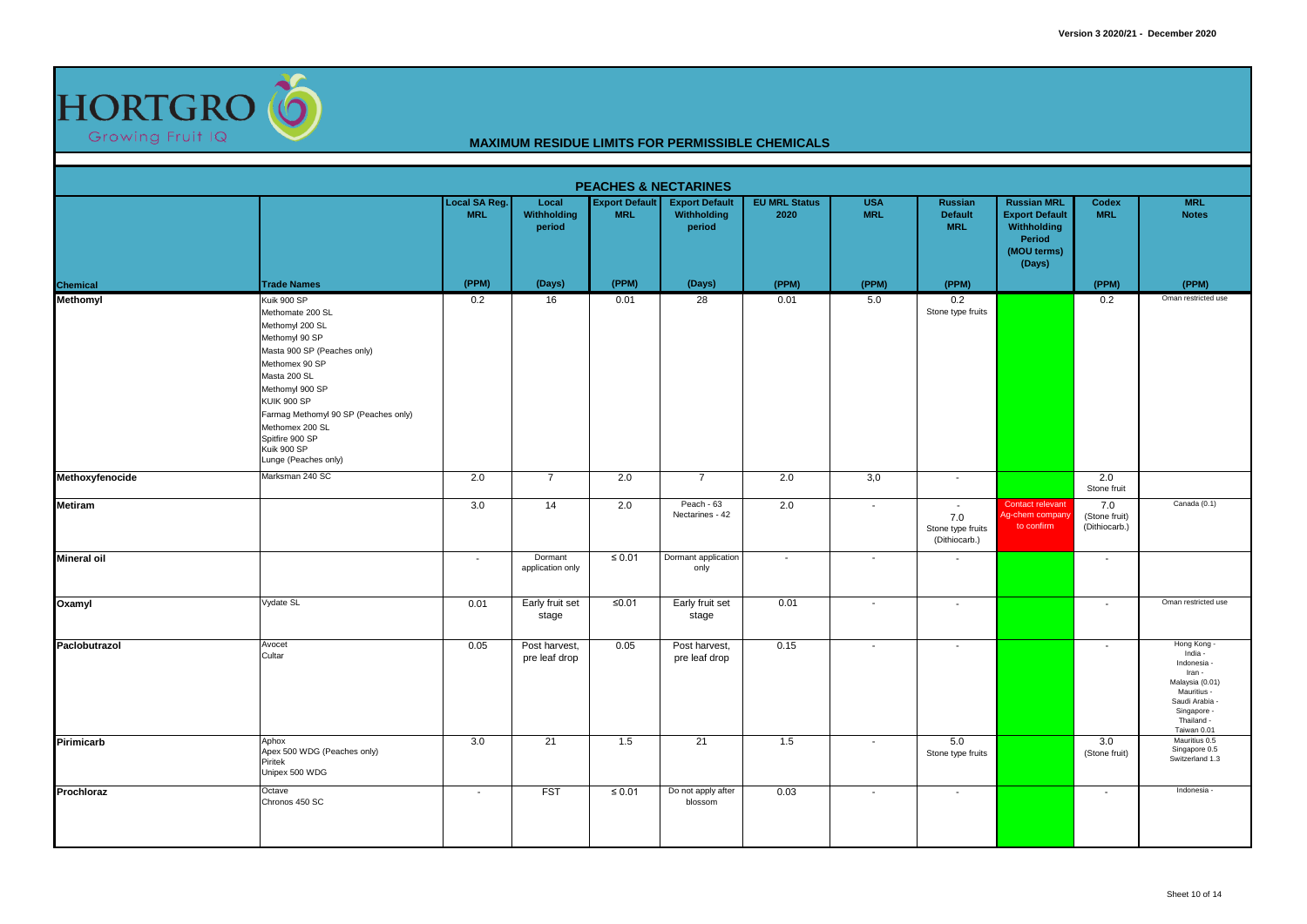

|                    |                                                                                                                                                                                                                                                                                                     |                             |                                       |                                     | <b>PEACHES &amp; NECTARINES</b>                |                              |                          |                                                                       |                                                                                               |                                       |                                                                                                                                               |
|--------------------|-----------------------------------------------------------------------------------------------------------------------------------------------------------------------------------------------------------------------------------------------------------------------------------------------------|-----------------------------|---------------------------------------|-------------------------------------|------------------------------------------------|------------------------------|--------------------------|-----------------------------------------------------------------------|-----------------------------------------------------------------------------------------------|---------------------------------------|-----------------------------------------------------------------------------------------------------------------------------------------------|
|                    |                                                                                                                                                                                                                                                                                                     | Local SA Reg.<br><b>MRL</b> | Local<br><b>Withholding</b><br>period | <b>Export Default</b><br><b>MRL</b> | <b>Export Default</b><br>Withholding<br>period | <b>EU MRL Status</b><br>2020 | <b>USA</b><br><b>MRL</b> | Russian<br><b>Default</b><br><b>MRL</b>                               | <b>Russian MRL</b><br><b>Export Default</b><br>Withholding<br>Period<br>(MOU terms)<br>(Days) | Codex<br><b>MRL</b>                   | <b>MRL</b><br><b>Notes</b>                                                                                                                    |
| Chemical           | <b>Trade Names</b>                                                                                                                                                                                                                                                                                  | (PPM)                       | (Days)                                | (PPM)                               | (Days)                                         | (PPM)                        | (PPM)                    | (PPM)                                                                 |                                                                                               | (PPM)                                 | (PPM)                                                                                                                                         |
| Methomyl           | Kuik 900 SP<br>Methomate 200 SL<br>Methomyl 200 SL<br>Methomyl 90 SP<br>Masta 900 SP (Peaches only)<br>Methomex 90 SP<br>Masta 200 SL<br>Methomyl 900 SP<br><b>KUIK 900 SP</b><br>Farmag Methomyl 90 SP (Peaches only)<br>Methomex 200 SL<br>Spitfire 900 SP<br>Kuik 900 SP<br>Lunge (Peaches only) | 0.2                         | 16                                    | 0.01                                | $\overline{28}$                                | 0.01                         | 5.0                      | 0.2<br>Stone type fruits                                              |                                                                                               | 0.2                                   | Oman restricted use                                                                                                                           |
| Methoxyfenocide    | Marksman 240 SC                                                                                                                                                                                                                                                                                     | 2.0                         | $\overline{7}$                        | 2.0                                 | $\overline{7}$                                 | 2.0                          | 3,0                      | $\sim$                                                                |                                                                                               | 2.0<br>Stone fruit                    |                                                                                                                                               |
| <b>Metiram</b>     |                                                                                                                                                                                                                                                                                                     | 3.0                         | 14                                    | 2.0                                 | Peach - 63<br>Nectarines - 42                  | 2.0                          | $\overline{\phantom{a}}$ | $\overline{\phantom{a}}$<br>7.0<br>Stone type fruits<br>(Dithiocarb.) | Contact relevant<br>Ag-chem company<br>to confirm                                             | 7.0<br>(Stone fruit)<br>(Dithiocarb.) | Canada (0.1)                                                                                                                                  |
| <b>Mineral oil</b> |                                                                                                                                                                                                                                                                                                     | $\overline{\phantom{a}}$    | Dormant<br>application only           | ≤ $0.01$                            | Dormant application<br>only                    | $\sim$                       | $\overline{\phantom{a}}$ | $\overline{\phantom{a}}$                                              |                                                                                               | $\blacksquare$                        |                                                                                                                                               |
| Oxamyl             | Vydate SL                                                                                                                                                                                                                                                                                           | 0.01                        | Early fruit set<br>stage              | $≤0.01$                             | Early fruit set<br>stage                       | 0.01                         | $\overline{\phantom{a}}$ | $\sim$                                                                |                                                                                               | $\overline{\phantom{a}}$              | Oman restricted use                                                                                                                           |
| Paclobutrazol      | Avocet<br>Cultar                                                                                                                                                                                                                                                                                    | 0.05                        | Post harvest,<br>pre leaf drop        | 0.05                                | Post harvest,<br>pre leaf drop                 | 0.15                         | $\sim$                   | $\sim$                                                                |                                                                                               | $\blacksquare$                        | Hong Kong -<br>India -<br>Indonesia -<br>Iran -<br>Malaysia (0.01)<br>Mauritius -<br>Saudi Arabia<br>Singapore -<br>Thailand -<br>Taiwan 0.01 |
| Pirimicarb         | Aphox<br>Apex 500 WDG (Peaches only)<br>Piritek<br>Unipex 500 WDG                                                                                                                                                                                                                                   | 3.0                         | 21                                    | 1.5                                 | 21                                             | 1.5                          | $\sim$                   | 5.0<br>Stone type fruits                                              |                                                                                               | 3.0<br>(Stone fruit)                  | Mauritius 0.5<br>Singapore 0.5<br>Switzerland 1.3                                                                                             |
| Prochloraz         | Octave<br>Chronos 450 SC                                                                                                                                                                                                                                                                            | $\sim$                      | <b>FST</b>                            | $≤ 0.01$                            | Do not apply after<br>blossom                  | 0.03                         | $\sim$                   | $\sim$                                                                |                                                                                               | $\sim$                                | Indonesia -                                                                                                                                   |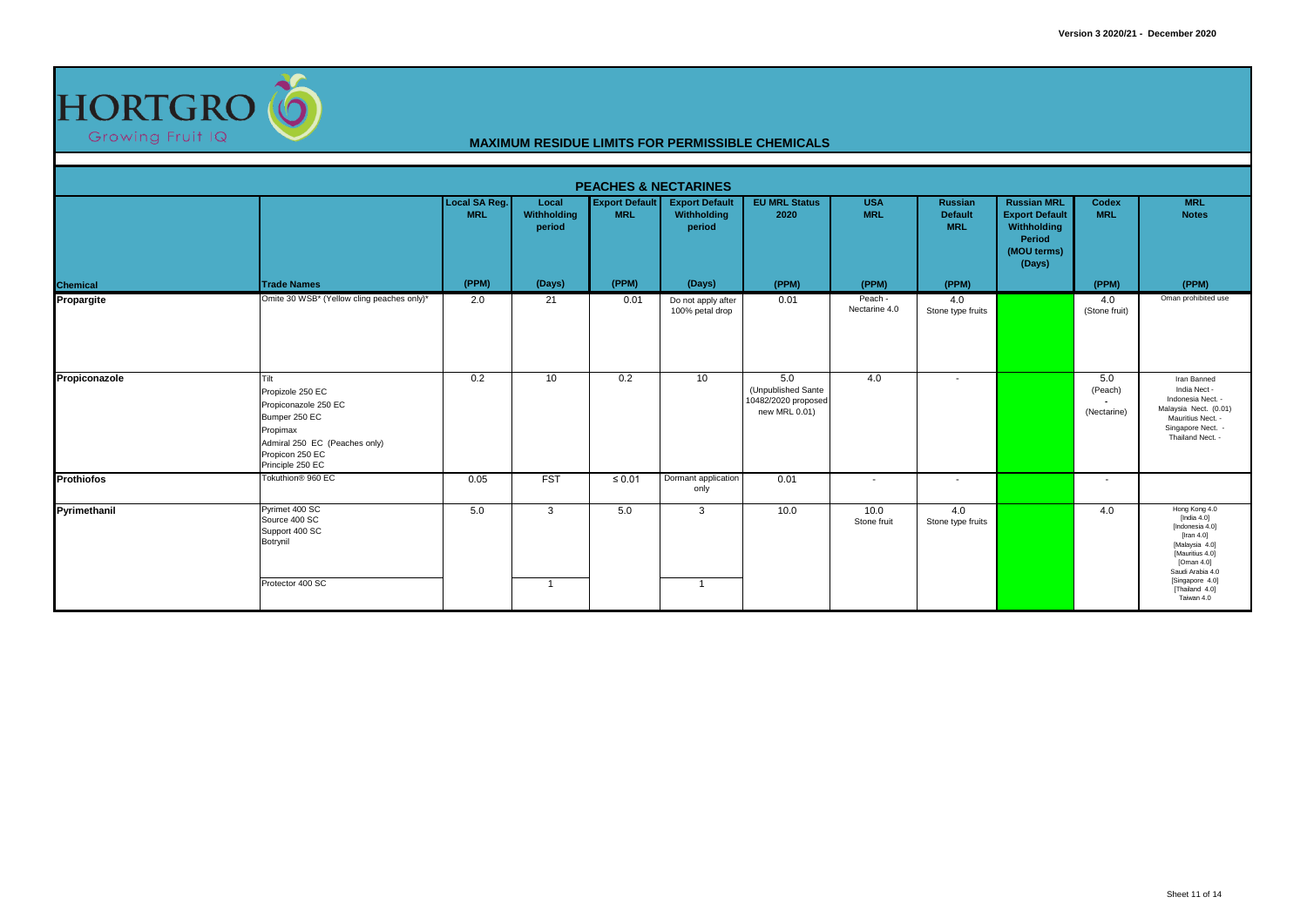

| <b>PEACHES &amp; NECTARINES</b> |                                                                                                                                                       |                                    |                                |                                     |                                                |                                                                   |                          |                                                |                                                                                               |                               |                                                                                                                                                                                               |  |  |  |
|---------------------------------|-------------------------------------------------------------------------------------------------------------------------------------------------------|------------------------------------|--------------------------------|-------------------------------------|------------------------------------------------|-------------------------------------------------------------------|--------------------------|------------------------------------------------|-----------------------------------------------------------------------------------------------|-------------------------------|-----------------------------------------------------------------------------------------------------------------------------------------------------------------------------------------------|--|--|--|
|                                 |                                                                                                                                                       | <b>Local SA Reg.</b><br><b>MRL</b> | Local<br>Withholding<br>period | <b>Export Default</b><br><b>MRL</b> | <b>Export Default</b><br>Withholding<br>period | <b>EU MRL Status</b><br>2020                                      | <b>USA</b><br><b>MRL</b> | <b>Russian</b><br><b>Default</b><br><b>MRL</b> | <b>Russian MRL</b><br><b>Export Default</b><br>Withholding<br>Period<br>(MOU terms)<br>(Days) | Codex<br><b>MRL</b>           | <b>MRL</b><br><b>Notes</b>                                                                                                                                                                    |  |  |  |
| Chemical                        | <b>Trade Names</b>                                                                                                                                    | (PPM)                              | (Days)                         | (PPM)                               | (Days)                                         | (PPM)                                                             | (PPM)                    | (PPM)                                          |                                                                                               | (PPM)                         | (PPM)                                                                                                                                                                                         |  |  |  |
| Propargite                      | Omite 30 WSB* (Yellow cling peaches only)*                                                                                                            | 2.0                                | 21                             | 0.01                                | Do not apply after<br>100% petal drop          | 0.01                                                              | Peach -<br>Nectarine 4.0 | 4.0<br>Stone type fruits                       |                                                                                               | 4.0<br>(Stone fruit)          | Oman prohibited use                                                                                                                                                                           |  |  |  |
| Propiconazole                   | Tilt<br>Propizole 250 EC<br>Propiconazole 250 EC<br>Bumper 250 EC<br>Propimax<br>Admiral 250 EC (Peaches only)<br>Propicon 250 EC<br>Principle 250 EC | 0.2                                | 10 <sup>°</sup>                | 0.2                                 | 10                                             | 5.0<br>(Unpublished Sante<br>10482/2020 proposed<br>new MRL 0.01) | 4.0                      | $\sim$                                         |                                                                                               | 5.0<br>(Peach)<br>(Nectarine) | Iran Banned<br>India Nect -<br>Indonesia Nect. -<br>Malaysia Nect. (0.01)<br>Mauritius Nect. -<br>Singapore Nect. -<br>Thailand Nect. -                                                       |  |  |  |
| Prothiofos                      | Tokuthion <sup>®</sup> 960 EC                                                                                                                         | 0.05                               | <b>FST</b>                     | $\leq 0.01$                         | Dormant application<br>only                    | 0.01                                                              | $\sim$                   | $\sim$                                         |                                                                                               |                               |                                                                                                                                                                                               |  |  |  |
| Pyrimethanil                    | Pyrimet 400 SC<br>Source 400 SC<br>Support 400 SC<br>Botrynil<br>Protector 400 SC                                                                     | 5.0                                | 3<br>$\mathbf{1}$              | 5.0                                 | 3<br>-1                                        | 10.0                                                              | 10.0<br>Stone fruit      | 4.0<br>Stone type fruits                       |                                                                                               | 4.0                           | Hong Kong 4.0<br>[India 4.0]<br>[Indonesia 4.0]<br>$[$ Iran 4.0 $]$<br>[Malaysia 4.0]<br>[Mauritius 4.0]<br>[Oman 4.0]<br>Saudi Arabia 4.0<br>[Singapore 4.0]<br>[Thailand 4.0]<br>Taiwan 4.0 |  |  |  |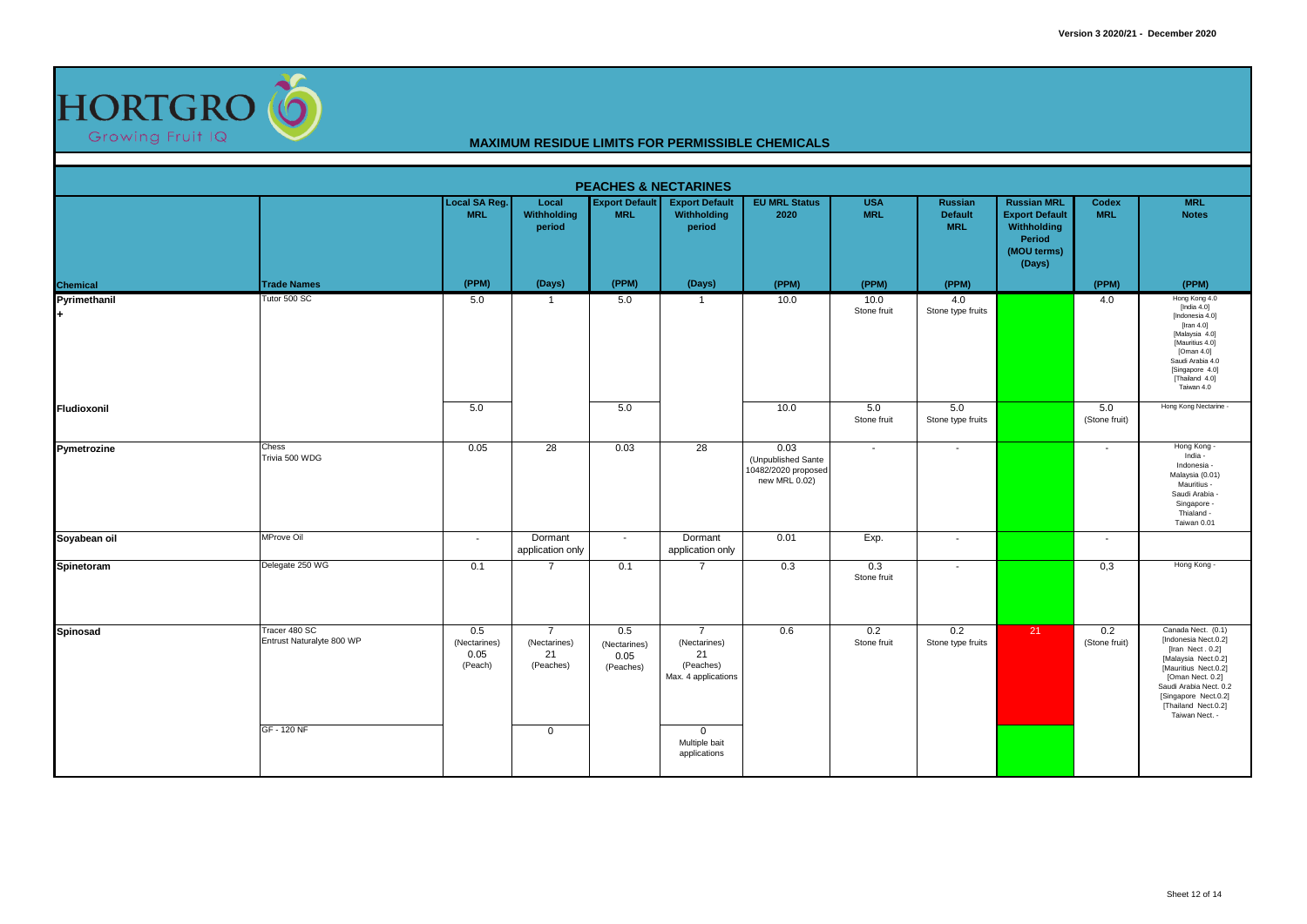

|                    |                                                           |                                        |                                                                  |                                          | <b>PEACHES &amp; NECTARINES</b>                                                                          |                                                                    |                          |                                         |                                                                                               |                          |                                                                                                                                                                                                                              |
|--------------------|-----------------------------------------------------------|----------------------------------------|------------------------------------------------------------------|------------------------------------------|----------------------------------------------------------------------------------------------------------|--------------------------------------------------------------------|--------------------------|-----------------------------------------|-----------------------------------------------------------------------------------------------|--------------------------|------------------------------------------------------------------------------------------------------------------------------------------------------------------------------------------------------------------------------|
|                    |                                                           | Local SA Reg.<br><b>MRL</b>            | Local<br>Withholding<br>period                                   | <b>Export Default</b><br><b>MRL</b>      | <b>Export Default</b><br>Withholding<br>period                                                           | <b>EU MRL Status</b><br>2020                                       | <b>USA</b><br><b>MRL</b> | Russian<br><b>Default</b><br><b>MRL</b> | <b>Russian MRL</b><br><b>Export Default</b><br>Withholding<br>Period<br>(MOU terms)<br>(Days) | Codex<br><b>MRL</b>      | <b>MRL</b><br><b>Notes</b>                                                                                                                                                                                                   |
| Chemical           | <b>Trade Names</b>                                        | (PPM)                                  | (Days)                                                           | (PPM)                                    | (Days)                                                                                                   | (PPM)                                                              | (PPM)                    | (PPM)                                   |                                                                                               | (PPM)                    | (PPM)                                                                                                                                                                                                                        |
| Pyrimethanil<br>l+ | Tutor 500 SC                                              | 5.0                                    | -1                                                               | 5.0                                      | $\overline{1}$                                                                                           | 10.0                                                               | 10.0<br>Stone fruit      | 4.0<br>Stone type fruits                |                                                                                               | 4.0                      | Hong Kong 4.0<br>[India $4.0$ ]<br>[Indonesia 4.0]<br>[Iran $4.0$ ]<br>[Malaysia 4.0]<br>[Mauritius 4.0]<br>[Oman $4.0$ ]<br>Saudi Arabia 4.0<br>[Singapore 4.0]<br>[Thailand 4.0]<br>Taiwan 4.0                             |
| Fludioxonil        |                                                           | 5.0                                    |                                                                  | 5.0                                      |                                                                                                          | 10.0                                                               | 5.0<br>Stone fruit       | 5.0<br>Stone type fruits                |                                                                                               | 5.0<br>(Stone fruit)     | Hong Kong Nectarine                                                                                                                                                                                                          |
| Pymetrozine        | Chess<br>Trivia 500 WDG                                   | 0.05                                   | 28                                                               | 0.03                                     | 28                                                                                                       | 0.03<br>(Unpublished Sante<br>10482/2020 proposed<br>new MRL 0.02) | $\overline{\phantom{a}}$ | $\sim$                                  |                                                                                               |                          | Hong Kong -<br>India -<br>Indonesia -<br>Malaysia (0.01)<br>Mauritius -<br>Saudi Arabia<br>Singapore -<br>Thialand -<br>Taiwan 0.01                                                                                          |
| Soyabean oil       | <b>MProve Oil</b>                                         | $\sim$                                 | Dormant<br>application only                                      | $\overline{\phantom{a}}$                 | Dormant<br>application only                                                                              | 0.01                                                               | Exp.                     | $\sim$                                  |                                                                                               | $\overline{\phantom{a}}$ |                                                                                                                                                                                                                              |
| Spinetoram         | Delegate 250 WG                                           | 0.1                                    | $\overline{7}$                                                   | 0.1                                      | $\overline{7}$                                                                                           | 0.3                                                                | 0.3<br>Stone fruit       | $\overline{\phantom{a}}$                |                                                                                               | 0,3                      | Hong Kong -                                                                                                                                                                                                                  |
| Spinosad           | Tracer 480 SC<br>Entrust Naturalyte 800 WP<br>GF - 120 NF | 0.5<br>(Nectarines)<br>0.05<br>(Peach) | $\overline{7}$<br>(Nectarines)<br>21<br>(Peaches)<br>$\mathsf 0$ | 0.5<br>(Nectarines)<br>0.05<br>(Peaches) | $\overline{7}$<br>(Nectarines)<br>21<br>(Peaches)<br>Max. 4 applications<br>$\mathbf 0$<br>Multiple bait | 0.6                                                                | 0.2<br>Stone fruit       | 0.2<br>Stone type fruits                | 21                                                                                            | 0.2<br>(Stone fruit)     | Canada Nect. (0.1)<br>[Indonesia Nect.0.2]<br>[Iran Nect. 0.2]<br>[Malaysia Nect.0.2]<br>[Mauritius Nect.0.2]<br>[Oman Nect. 0.2]<br>Saudi Arabia Nect. 0.2<br>[Singapore Nect.0.2]<br>[Thailand Nect.0.2]<br>Taiwan Nect. - |
|                    |                                                           |                                        |                                                                  |                                          | applications                                                                                             |                                                                    |                          |                                         |                                                                                               |                          |                                                                                                                                                                                                                              |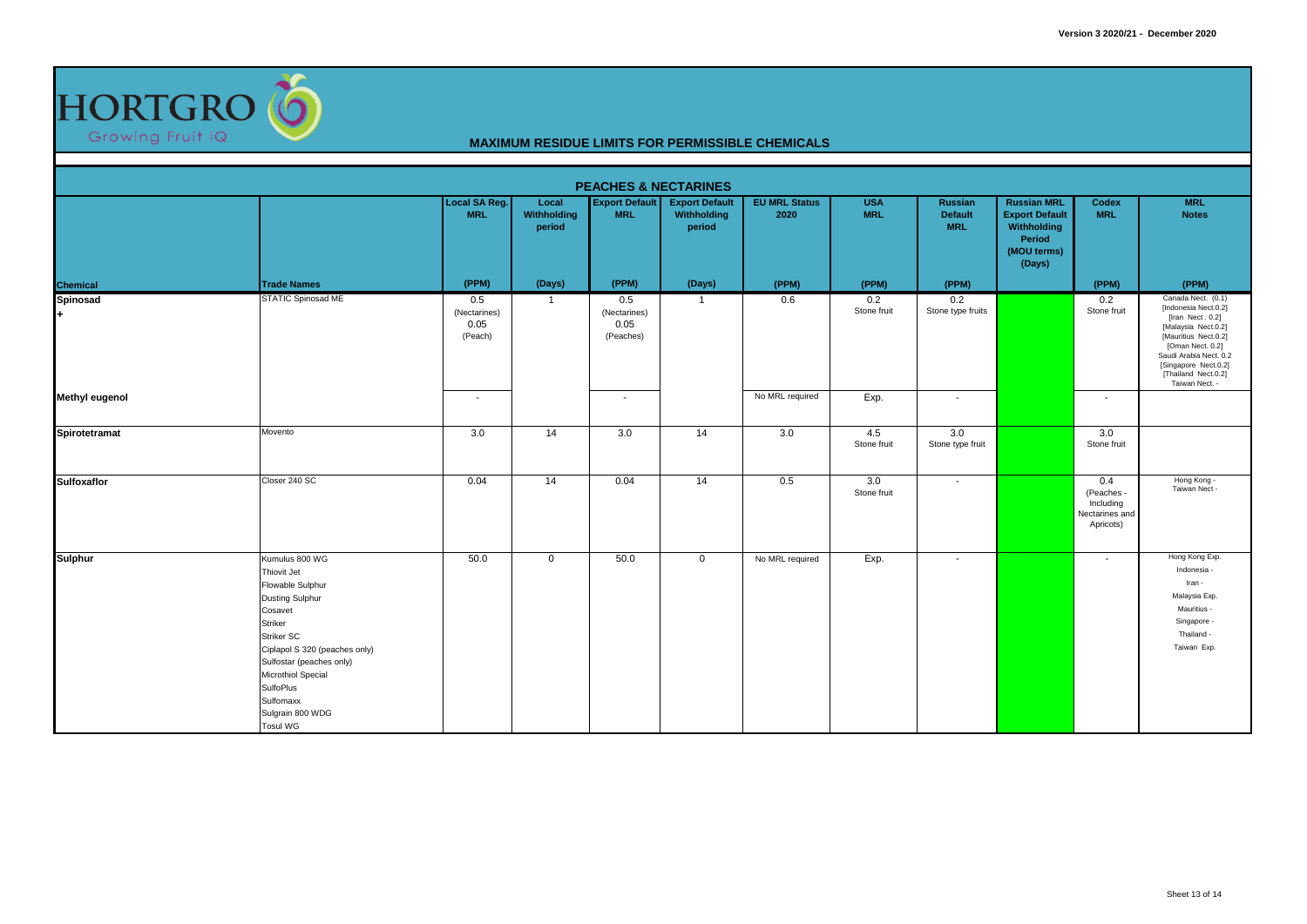

| <b>PEACHES &amp; NECTARINES</b> |                                                                                                                                                                                                                                                                            |                                        |                                |                                          |                                                |                              |                          |                                         |                                                                                               |                                                             |                                                                                                                                                                                                                              |
|---------------------------------|----------------------------------------------------------------------------------------------------------------------------------------------------------------------------------------------------------------------------------------------------------------------------|----------------------------------------|--------------------------------|------------------------------------------|------------------------------------------------|------------------------------|--------------------------|-----------------------------------------|-----------------------------------------------------------------------------------------------|-------------------------------------------------------------|------------------------------------------------------------------------------------------------------------------------------------------------------------------------------------------------------------------------------|
|                                 |                                                                                                                                                                                                                                                                            | <b>Local SA Reg.</b><br><b>MRL</b>     | Local<br>Withholding<br>period | <b>Export Default</b><br><b>MRL</b>      | <b>Export Default</b><br>Withholding<br>period | <b>EU MRL Status</b><br>2020 | <b>USA</b><br><b>MRL</b> | Russian<br><b>Default</b><br><b>MRL</b> | <b>Russian MRL</b><br><b>Export Default</b><br>Withholding<br>Period<br>(MOU terms)<br>(Days) | Codex<br><b>MRL</b>                                         | <b>MRL</b><br><b>Notes</b>                                                                                                                                                                                                   |
| Chemical                        | <b>Trade Names</b>                                                                                                                                                                                                                                                         | (PPM)                                  | (Days)                         | (PPM)                                    | (Days)                                         | (PPM)                        | (PPM)                    | (PPM)                                   |                                                                                               | (PPM)                                                       | (PPM)                                                                                                                                                                                                                        |
| Spinosad<br>l+                  | STATIC Spinosad ME                                                                                                                                                                                                                                                         | 0.5<br>(Nectarines)<br>0.05<br>(Peach) | $\mathbf{1}$                   | 0.5<br>(Nectarines)<br>0.05<br>(Peaches) | $\overline{1}$                                 | 0.6                          | 0.2<br>Stone fruit       | 0.2<br>Stone type fruits                |                                                                                               | 0.2<br>Stone fruit                                          | Canada Nect. (0.1)<br>[Indonesia Nect.0.2]<br>[Iran Nect. 0.2]<br>[Malaysia Nect.0.2]<br>[Mauritius Nect.0.2]<br>[Oman Nect. 0.2]<br>Saudi Arabia Nect. 0.2<br>[Singapore Nect.0.2]<br>[Thailand Nect.0.2]<br>Taiwan Nect. - |
| Methyl eugenol                  |                                                                                                                                                                                                                                                                            | $\sim$                                 |                                | $\overline{\phantom{a}}$                 |                                                | No MRL required              | Exp.                     | $\sim$                                  |                                                                                               | $\overline{\phantom{a}}$                                    |                                                                                                                                                                                                                              |
| Spirotetramat                   | Movento                                                                                                                                                                                                                                                                    | 3.0                                    | 14                             | 3.0                                      | 14                                             | 3.0                          | 4.5<br>Stone fruit       | 3.0<br>Stone type fruit                 |                                                                                               | 3.0<br>Stone fruit                                          |                                                                                                                                                                                                                              |
| Sulfoxaflor                     | Closer 240 SC                                                                                                                                                                                                                                                              | 0.04                                   | 14                             | 0.04                                     | 14                                             | 0.5                          | 3.0<br>Stone fruit       | $\sim$                                  |                                                                                               | 0.4<br>(Peaches<br>Including<br>Nectarines and<br>Apricots) | Hong Kong -<br>Taiwan Nect -                                                                                                                                                                                                 |
| <b>Sulphur</b>                  | Kumulus 800 WG<br>Thiovit Jet<br>Flowable Sulphur<br><b>Dusting Sulphur</b><br>Cosavet<br>Striker<br>Striker SC<br>Ciplapol S 320 (peaches only)<br>Sulfostar (peaches only)<br><b>Microthiol Special</b><br>SulfoPlus<br>Sulfomaxx<br>Sulgrain 800 WDG<br><b>Tosul WG</b> | 50.0                                   | $\mathbf{0}$                   | 50.0                                     | $\overline{0}$                                 | No MRL required              | Exp.                     | $\overline{\phantom{a}}$                |                                                                                               | $\overline{\phantom{a}}$                                    | Hong Kong Exp.<br>Indonesia -<br>Iran -<br>Malaysia Exp.<br>Mauritius -<br>Singapore -<br>Thailand -<br>Taiwan Exp.                                                                                                          |